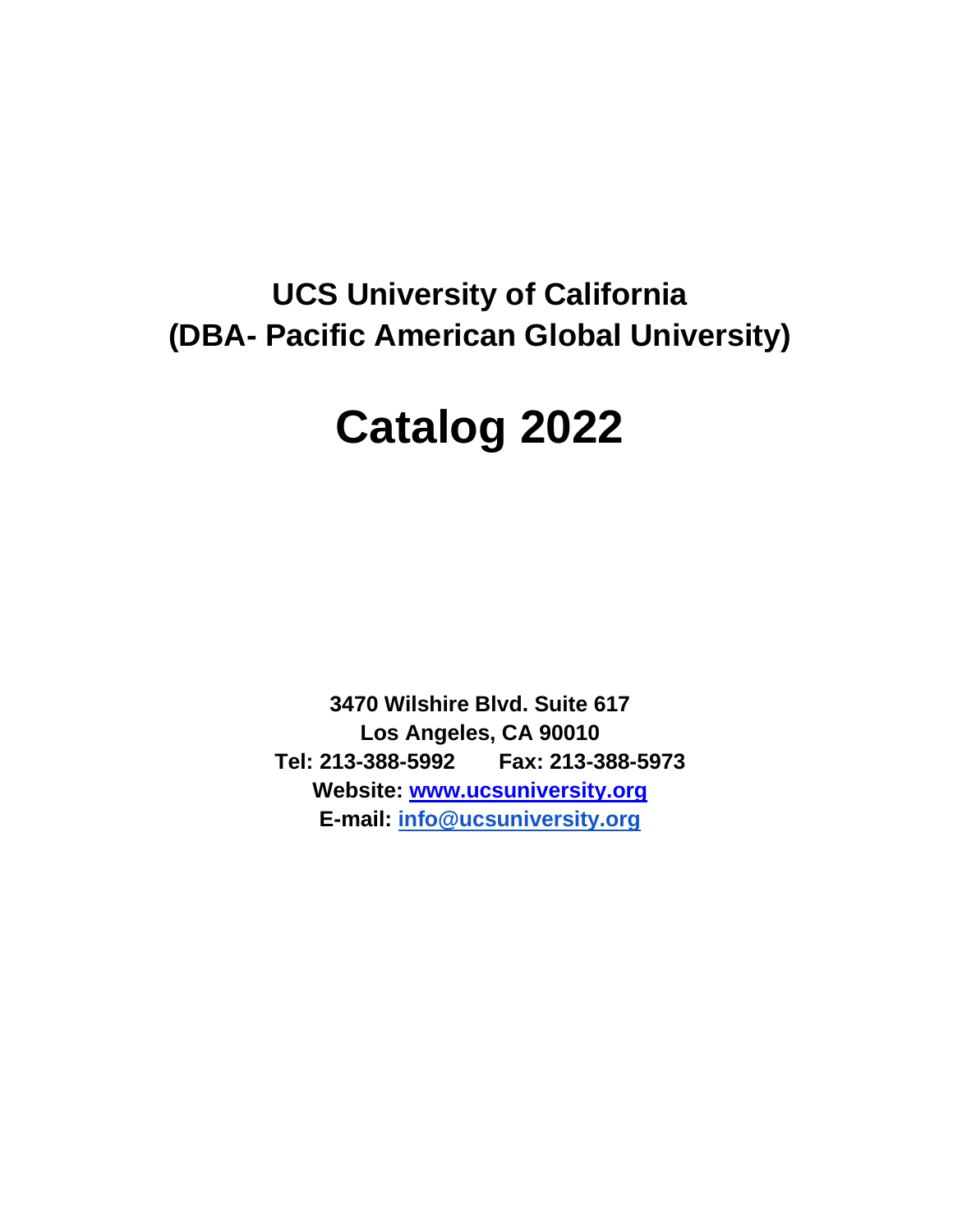# **UCS University of California (DBA- Pacific American Global University)**

# **Catalog 2022**

**3470 Wilshire Blvd. Suite 617 Los Angeles, CA 90010 Tel: 213-388-5992 Fax: 213-388-5973 Website: [www.ucsuniversity.org](http://www.ucsuniversity.org/) E-mail: [info@ucsuniversity.org](mailto:info@ucsuniversity.org)**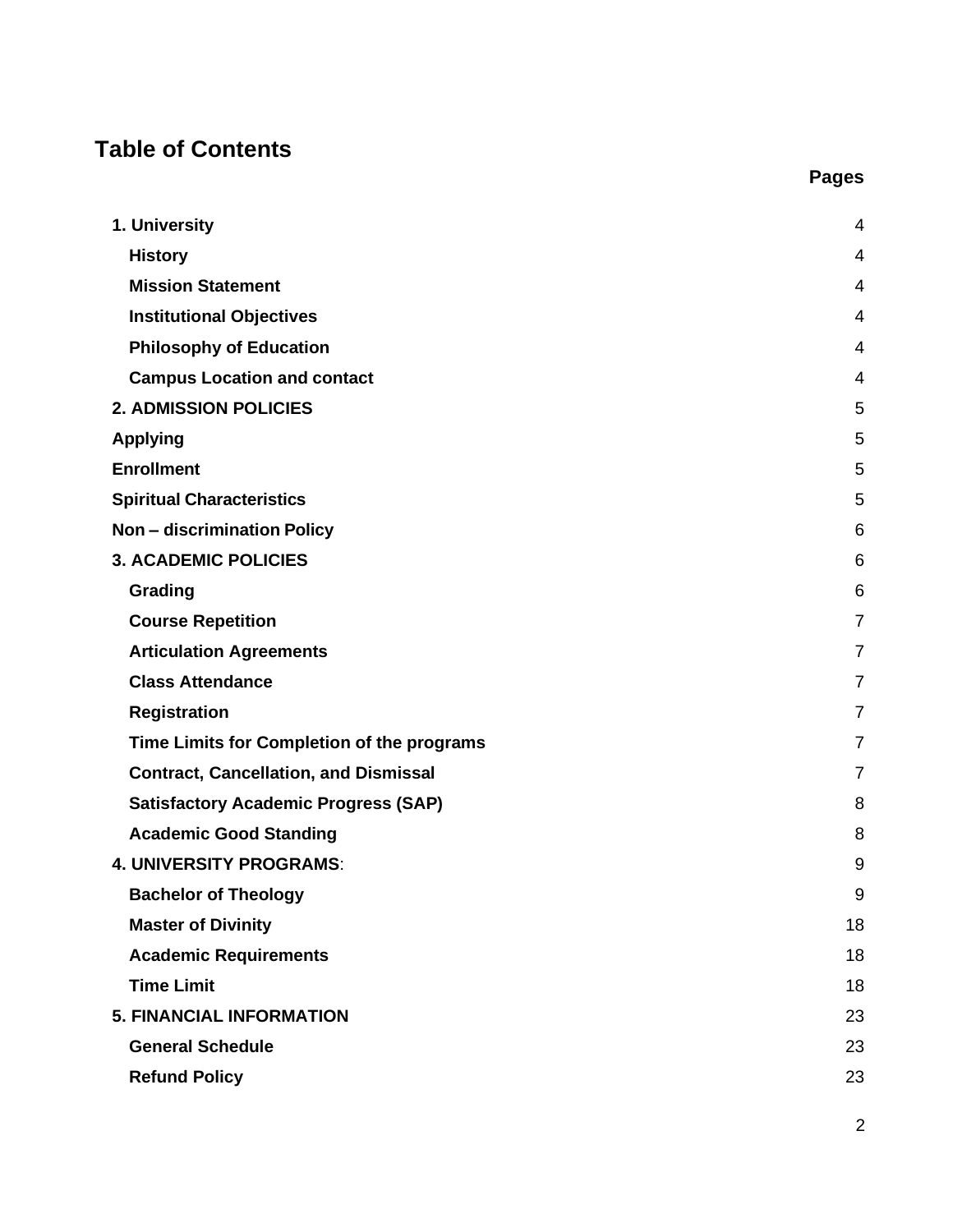# **Table of Contents**

| 1. University                                | 4              |
|----------------------------------------------|----------------|
| <b>History</b>                               | 4              |
| <b>Mission Statement</b>                     | 4              |
| <b>Institutional Objectives</b>              | 4              |
| <b>Philosophy of Education</b>               | 4              |
| <b>Campus Location and contact</b>           | 4              |
| <b>2. ADMISSION POLICIES</b>                 | 5              |
| <b>Applying</b>                              | 5              |
| <b>Enrollment</b>                            | 5              |
| <b>Spiritual Characteristics</b>             | 5              |
| <b>Non - discrimination Policy</b>           | 6              |
| <b>3. ACADEMIC POLICIES</b>                  | 6              |
| Grading                                      | 6              |
| <b>Course Repetition</b>                     | $\overline{7}$ |
| <b>Articulation Agreements</b>               | 7              |
| <b>Class Attendance</b>                      | $\overline{7}$ |
| <b>Registration</b>                          | 7              |
| Time Limits for Completion of the programs   | 7              |
| <b>Contract, Cancellation, and Dismissal</b> | $\overline{7}$ |
| <b>Satisfactory Academic Progress (SAP)</b>  | 8              |
| <b>Academic Good Standing</b>                | 8              |
| <b>4. UNIVERSITY PROGRAMS:</b>               | 9              |
| <b>Bachelor of Theology</b>                  | 9              |
| <b>Master of Divinity</b>                    | 18             |
| <b>Academic Requirements</b>                 | 18             |
| <b>Time Limit</b>                            | 18             |
| <b>5. FINANCIAL INFORMATION</b>              | 23             |
| <b>General Schedule</b>                      | 23             |
| <b>Refund Policy</b>                         | 23             |
|                                              |                |

2

**Pages**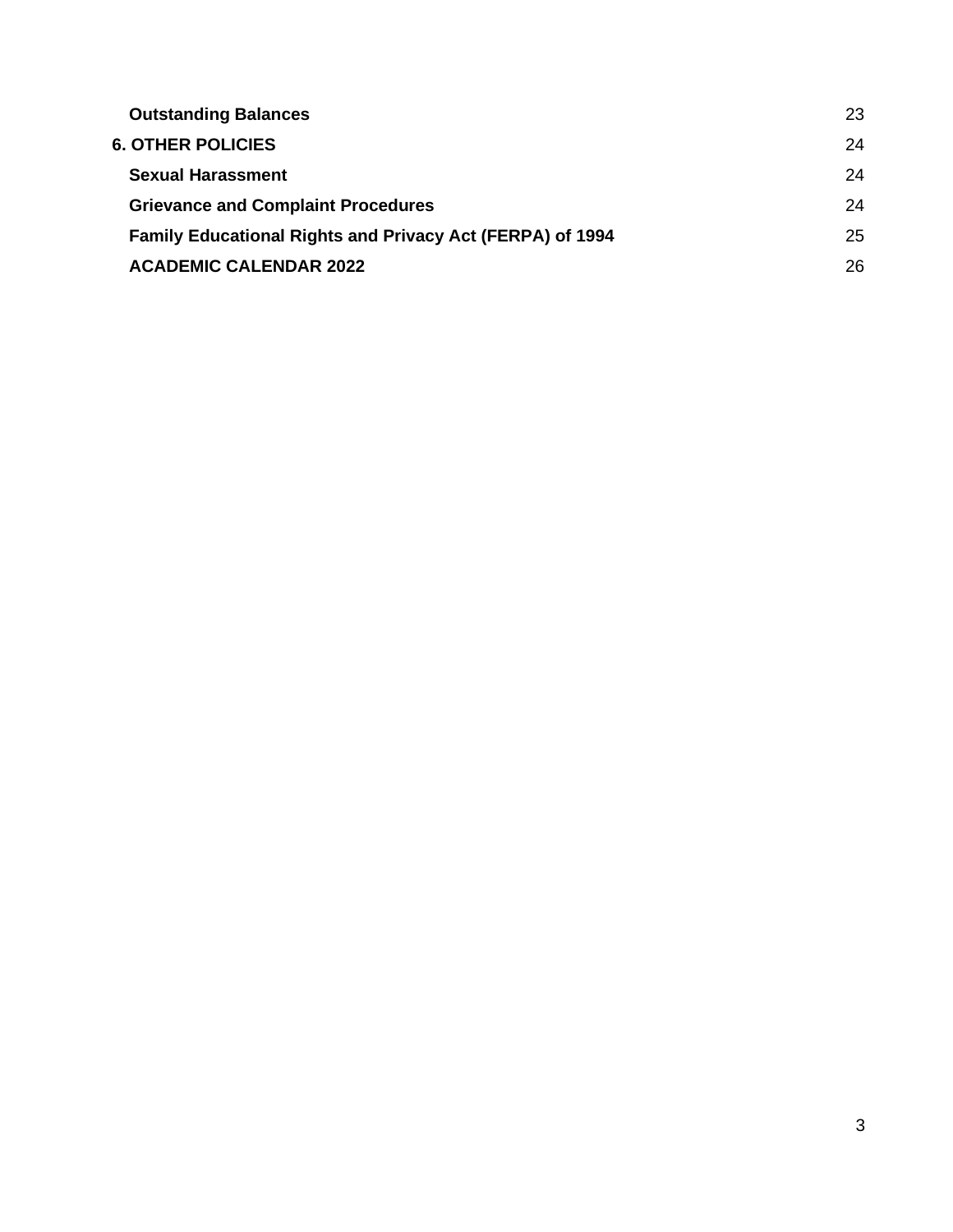| <b>Outstanding Balances</b>                                      | 23 |
|------------------------------------------------------------------|----|
| <b>6. OTHER POLICIES</b>                                         | 24 |
| <b>Sexual Harassment</b>                                         | 24 |
| <b>Grievance and Complaint Procedures</b>                        | 24 |
| <b>Family Educational Rights and Privacy Act (FERPA) of 1994</b> | 25 |
| <b>ACADEMIC CALENDAR 2022</b>                                    | 26 |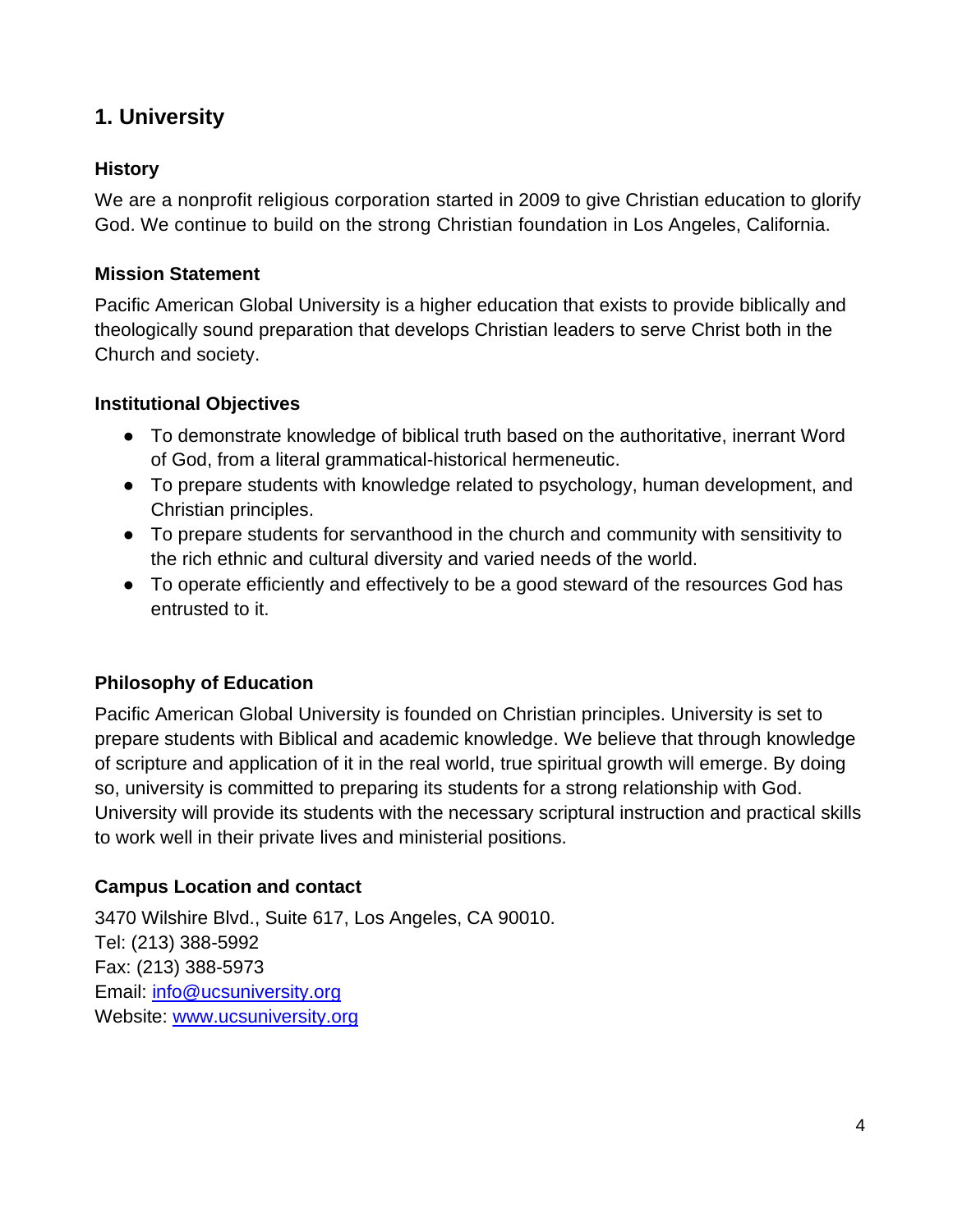# <span id="page-3-0"></span>**1. University**

#### <span id="page-3-1"></span>**History**

We are a nonprofit religious corporation started in 2009 to give Christian education to glorify God. We continue to build on the strong Christian foundation in Los Angeles, California.

#### <span id="page-3-2"></span>**Mission Statement**

Pacific American Global University is a higher education that exists to provide biblically and theologically sound preparation that develops Christian leaders to serve Christ both in the Church and society.

#### <span id="page-3-3"></span>**Institutional Objectives**

- To demonstrate knowledge of biblical truth based on the authoritative, inerrant Word of God, from a literal grammatical-historical hermeneutic.
- To prepare students with knowledge related to psychology, human development, and Christian principles.
- To prepare students for servanthood in the church and community with sensitivity to the rich ethnic and cultural diversity and varied needs of the world.
- To operate efficiently and effectively to be a good steward of the resources God has entrusted to it.

#### <span id="page-3-4"></span>**Philosophy of Education**

Pacific American Global University is founded on Christian principles. University is set to prepare students with Biblical and academic knowledge. We believe that through knowledge of scripture and application of it in the real world, true spiritual growth will emerge. By doing so, university is committed to preparing its students for a strong relationship with God. University will provide its students with the necessary scriptural instruction and practical skills to work well in their private lives and ministerial positions.

#### <span id="page-3-5"></span>**Campus Location and contact**

3470 Wilshire Blvd., Suite 617, Los Angeles, CA 90010. Tel: (213) 388-5992 Fax: (213) 388-5973 Email: [info@ucsuniversity.org](mailto:info@ucsuniversity.org) Website: [www.ucsuniversity.org](http://www.ucsuniversity.org/)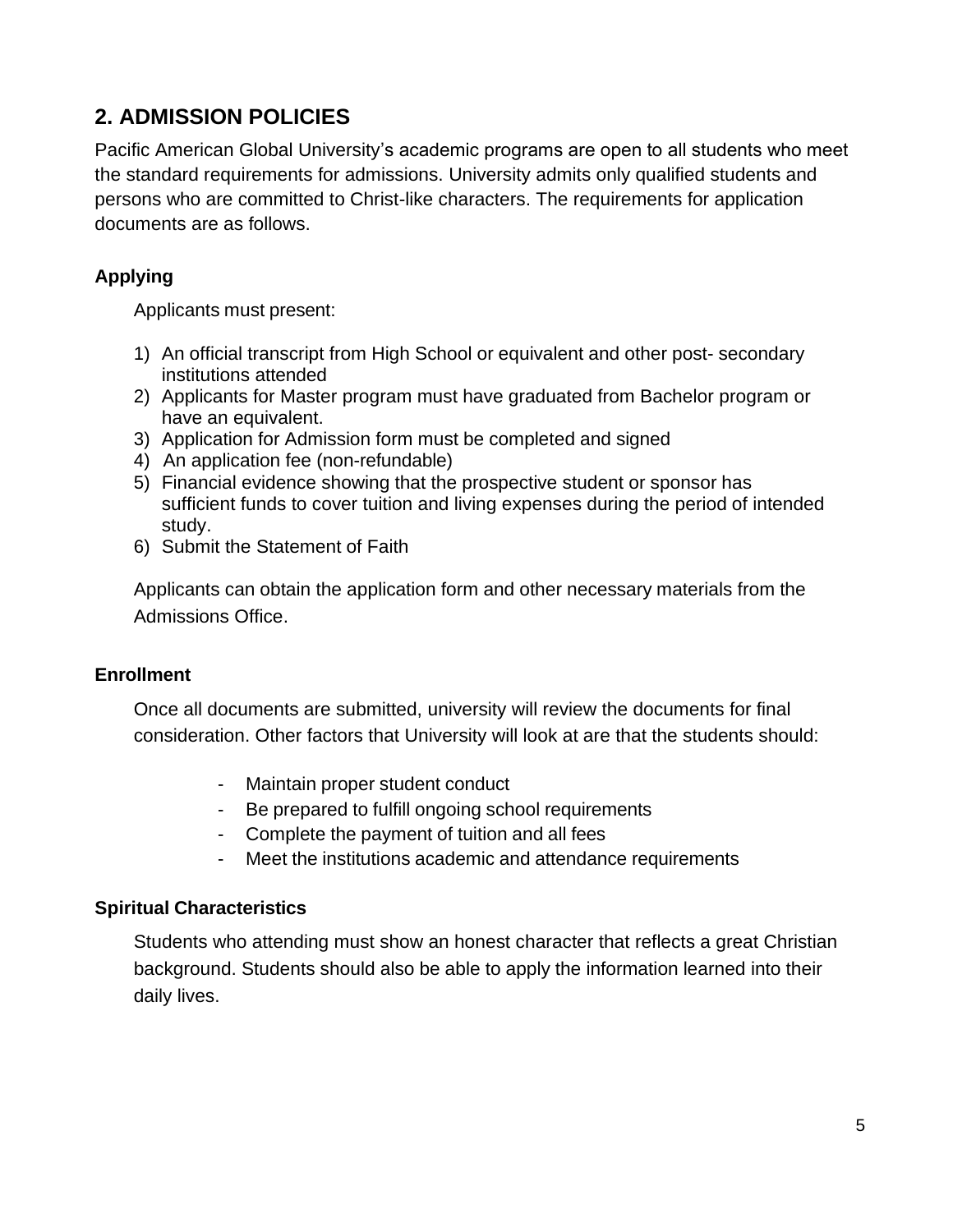# <span id="page-4-0"></span>**2. ADMISSION POLICIES**

Pacific American Global University's academic programs are open to all students who meet the standard requirements for admissions. University admits only qualified students and persons who are committed to Christ-like characters. The requirements for application documents are as follows.

#### <span id="page-4-1"></span>**Applying**

Applicants must present:

- 1) An official transcript from High School or equivalent and other post- secondary institutions attended
- 2) Applicants for Master program must have graduated from Bachelor program or have an equivalent.
- 3) Application for Admission form must be completed and signed
- 4) An application fee (non-refundable)
- 5) Financial evidence showing that the prospective student or sponsor has sufficient funds to cover tuition and living expenses during the period of intended study.
- 6) Submit the Statement of Faith

Applicants can obtain the application form and other necessary materials from the Admissions Office.

#### <span id="page-4-2"></span>**Enrollment**

Once all documents are submitted, university will review the documents for final consideration. Other factors that University will look at are that the students should:

- Maintain proper student conduct
- Be prepared to fulfill ongoing school requirements
- Complete the payment of tuition and all fees
- Meet the institutions academic and attendance requirements

#### <span id="page-4-3"></span>**Spiritual Characteristics**

Students who attending must show an honest character that reflects a great Christian background. Students should also be able to apply the information learned into their daily lives.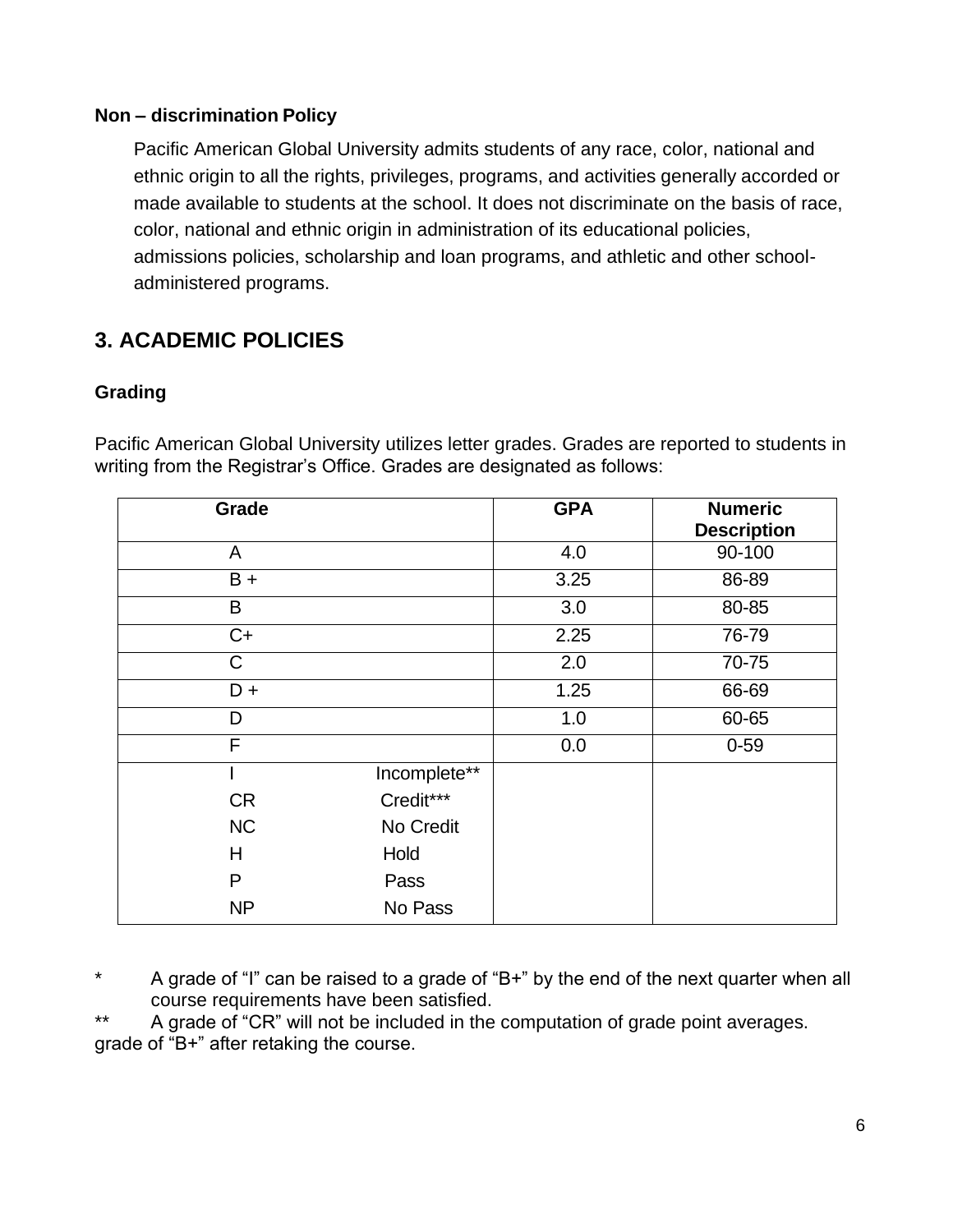#### <span id="page-5-0"></span>**Non – discrimination Policy**

Pacific American Global University admits students of any race, color, national and ethnic origin to all the rights, privileges, programs, and activities generally accorded or made available to students at the school. It does not discriminate on the basis of race, color, national and ethnic origin in administration of its educational policies, admissions policies, scholarship and loan programs, and athletic and other schooladministered programs.

# <span id="page-5-1"></span>**3. ACADEMIC POLICIES**

#### <span id="page-5-2"></span>**Grading**

Pacific American Global University utilizes letter grades. Grades are reported to students in writing from the Registrar's Office. Grades are designated as follows:

| Grade     |              | <b>GPA</b> | <b>Numeric</b><br><b>Description</b> |
|-----------|--------------|------------|--------------------------------------|
| A         |              | 4.0        | 90-100                               |
| $B +$     |              | 3.25       | 86-89                                |
| B         |              | 3.0        | 80-85                                |
| $C+$      |              | 2.25       | 76-79                                |
| C         |              | 2.0        | 70-75                                |
| $D +$     |              | 1.25       | 66-69                                |
| D         |              | 1.0        | 60-65                                |
| F         |              | 0.0        | $0 - 59$                             |
|           | Incomplete** |            |                                      |
| <b>CR</b> | Credit***    |            |                                      |
| <b>NC</b> | No Credit    |            |                                      |
| H         | Hold         |            |                                      |
| P         | Pass         |            |                                      |
| <b>NP</b> | No Pass      |            |                                      |

\* A grade of "I" can be raised to a grade of "B+" by the end of the next quarter when all course requirements have been satisfied.

\*\* A grade of "CR" will not be included in the computation of grade point averages. grade of "B+" after retaking the course.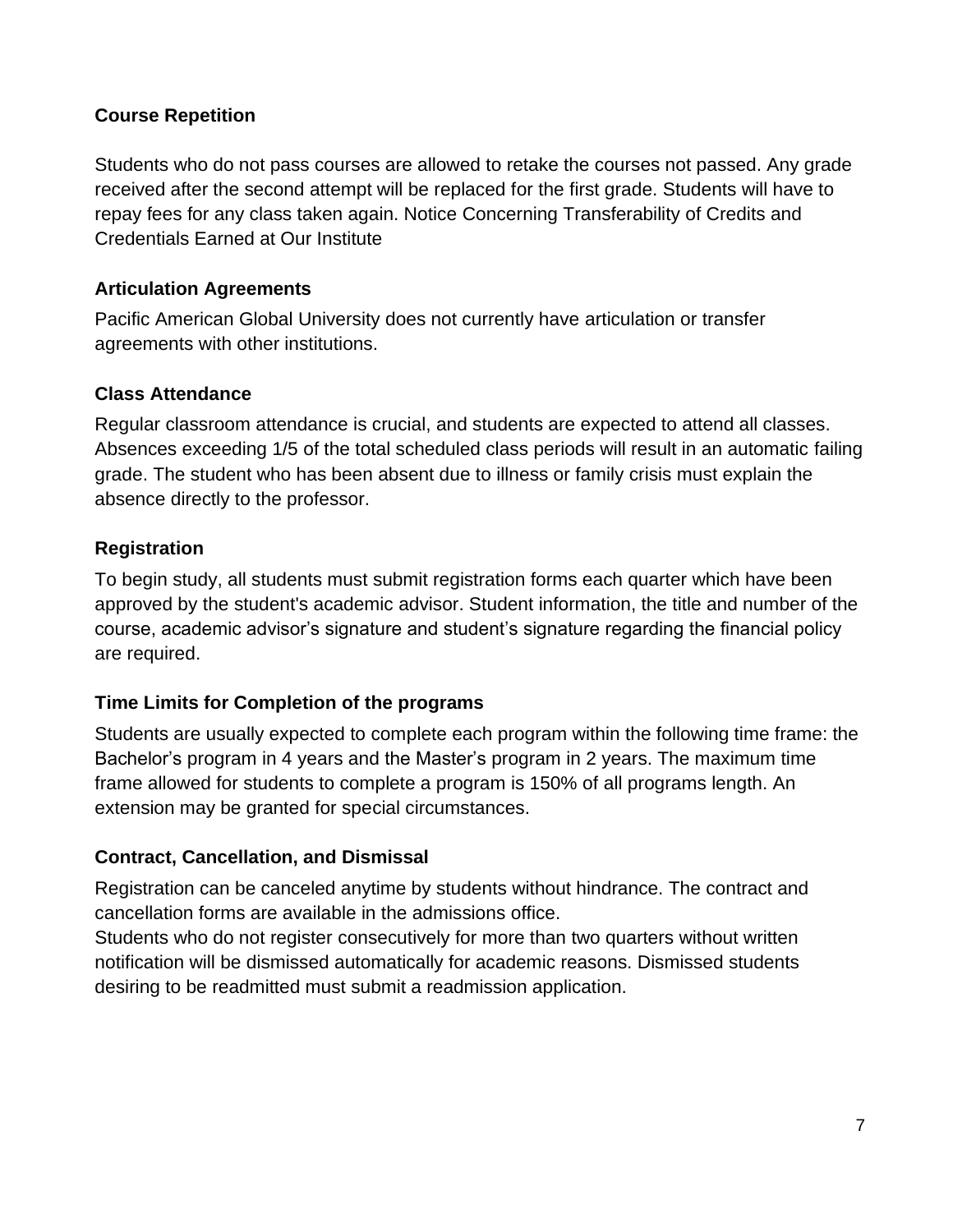#### <span id="page-6-0"></span>**Course Repetition**

Students who do not pass courses are allowed to retake the courses not passed. Any grade received after the second attempt will be replaced for the first grade. Students will have to repay fees for any class taken again. Notice Concerning Transferability of Credits and Credentials Earned at Our Institute

#### <span id="page-6-1"></span>**Articulation Agreements**

Pacific American Global University does not currently have articulation or transfer agreements with other institutions.

#### <span id="page-6-2"></span>**Class Attendance**

Regular classroom attendance is crucial, and students are expected to attend all classes. Absences exceeding 1/5 of the total scheduled class periods will result in an automatic failing grade. The student who has been absent due to illness or family crisis must explain the absence directly to the professor.

#### <span id="page-6-3"></span>**Registration**

To begin study, all students must submit registration forms each quarter which have been approved by the student's academic advisor. Student information, the title and number of the course, academic advisor's signature and student's signature regarding the financial policy are required.

#### <span id="page-6-4"></span>**Time Limits for Completion of the programs**

Students are usually expected to complete each program within the following time frame: the Bachelor's program in 4 years and the Master's program in 2 years. The maximum time frame allowed for students to complete a program is 150% of all programs length. An extension may be granted for special circumstances.

#### <span id="page-6-5"></span>**Contract, Cancellation, and Dismissal**

Registration can be canceled anytime by students without hindrance. The contract and cancellation forms are available in the admissions office.

Students who do not register consecutively for more than two quarters without written notification will be dismissed automatically for academic reasons. Dismissed students desiring to be readmitted must submit a readmission application.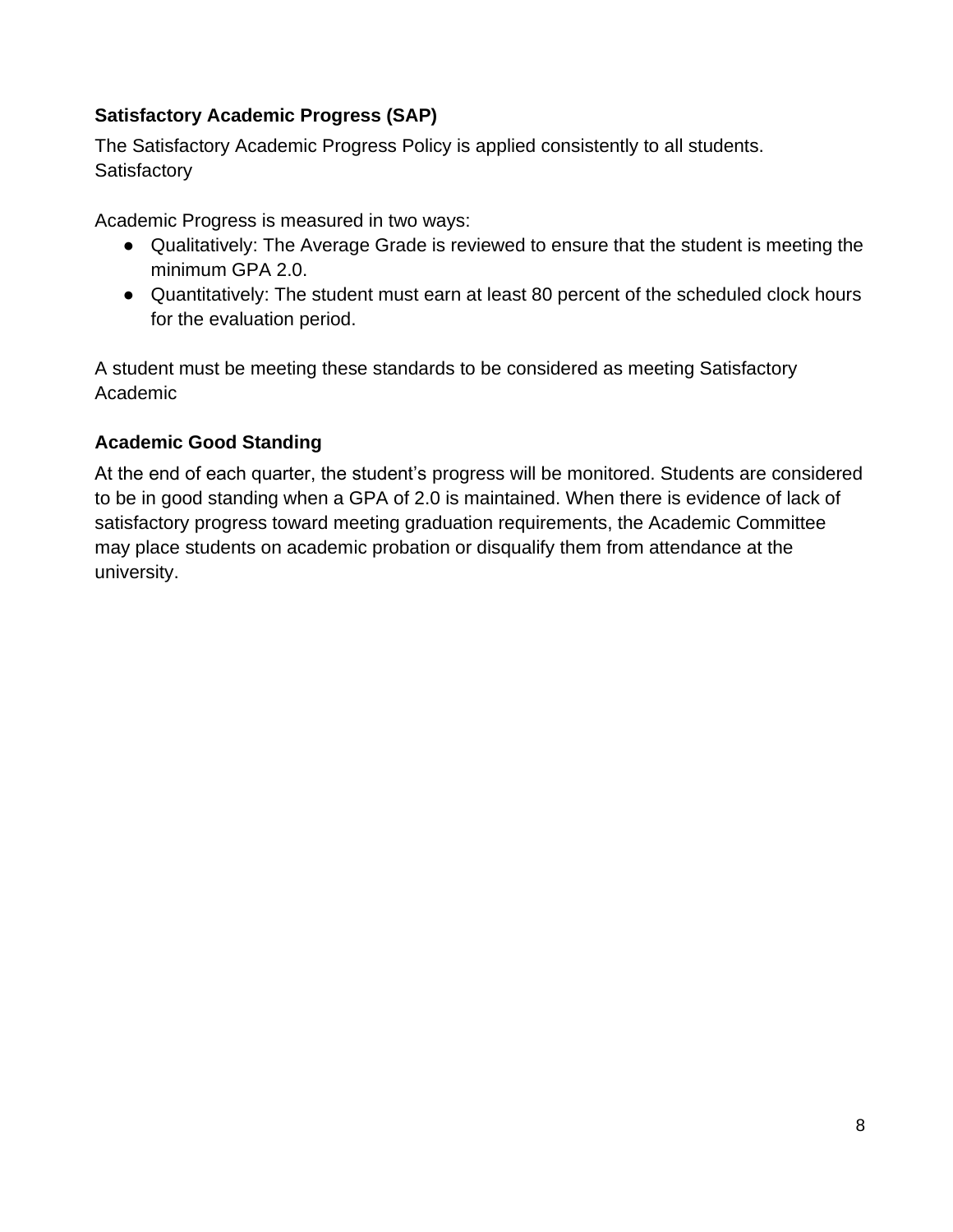#### <span id="page-7-0"></span>**Satisfactory Academic Progress (SAP)**

The Satisfactory Academic Progress Policy is applied consistently to all students. **Satisfactory** 

Academic Progress is measured in two ways:

- Qualitatively: The Average Grade is reviewed to ensure that the student is meeting the minimum GPA 2.0.
- Quantitatively: The student must earn at least 80 percent of the scheduled clock hours for the evaluation period.

A student must be meeting these standards to be considered as meeting Satisfactory Academic

#### <span id="page-7-1"></span>**Academic Good Standing**

At the end of each quarter, the student's progress will be monitored. Students are considered to be in good standing when a GPA of 2.0 is maintained. When there is evidence of lack of satisfactory progress toward meeting graduation requirements, the Academic Committee may place students on academic probation or disqualify them from attendance at the university.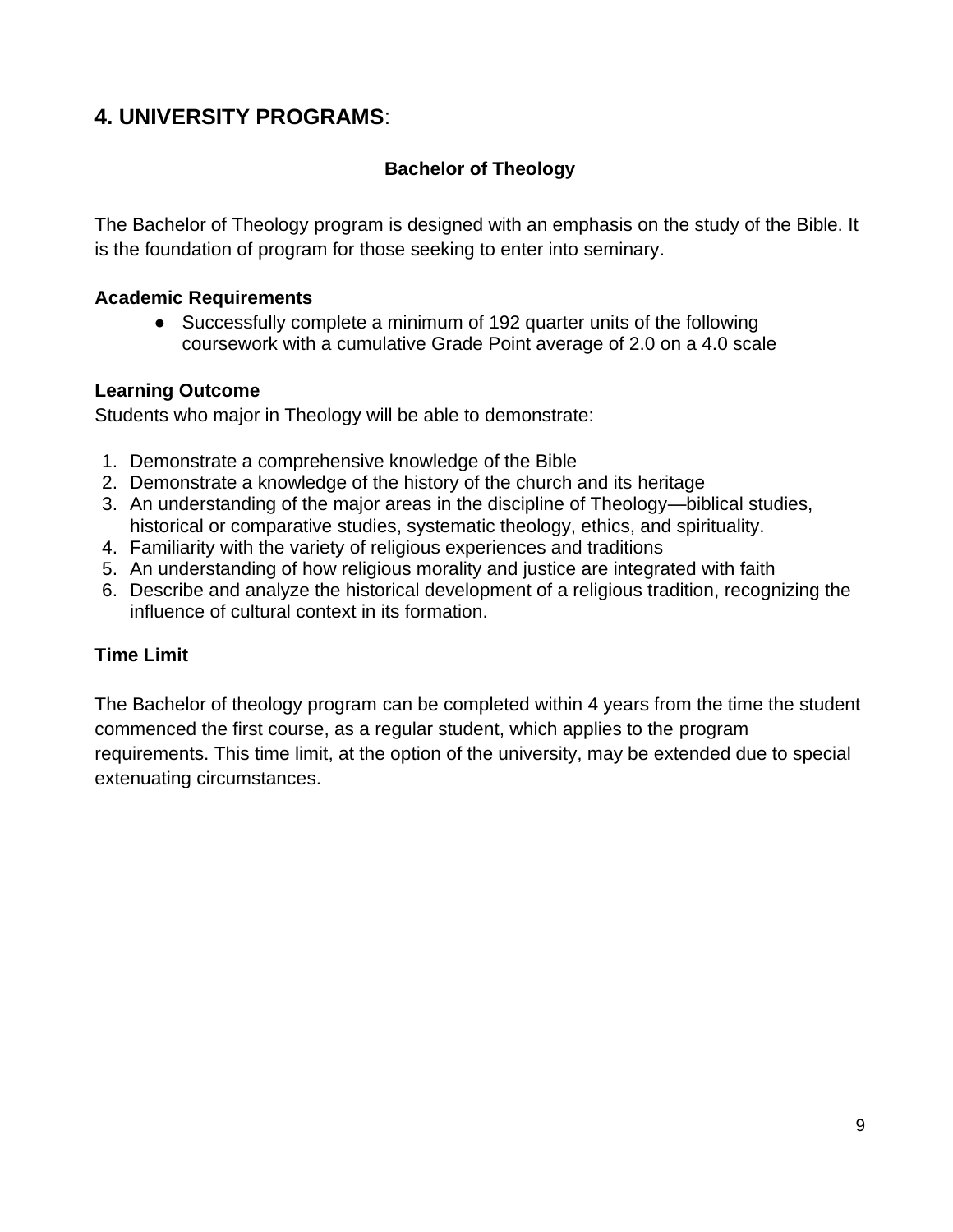## <span id="page-8-1"></span><span id="page-8-0"></span>**4. UNIVERSITY PROGRAMS**:

#### **Bachelor of Theology**

The Bachelor of Theology program is designed with an emphasis on the study of the Bible. It is the foundation of program for those seeking to enter into seminary.

#### **Academic Requirements**

● Successfully complete a minimum of 192 quarter units of the following coursework with a cumulative Grade Point average of 2.0 on a 4.0 scale

#### **Learning Outcome**

Students who major in Theology will be able to demonstrate:

- 1. Demonstrate a comprehensive knowledge of the Bible
- 2. Demonstrate a knowledge of the history of the church and its heritage
- 3. An understanding of the major areas in the discipline of Theology—biblical studies, historical or comparative studies, systematic theology, ethics, and spirituality.
- 4. Familiarity with the variety of religious experiences and traditions
- 5. An understanding of how religious morality and justice are integrated with faith
- 6. Describe and analyze the historical development of a religious tradition, recognizing the influence of cultural context in its formation.

#### **Time Limit**

The Bachelor of theology program can be completed within 4 years from the time the student commenced the first course, as a regular student, which applies to the program requirements. This time limit, at the option of the university, may be extended due to special extenuating circumstances.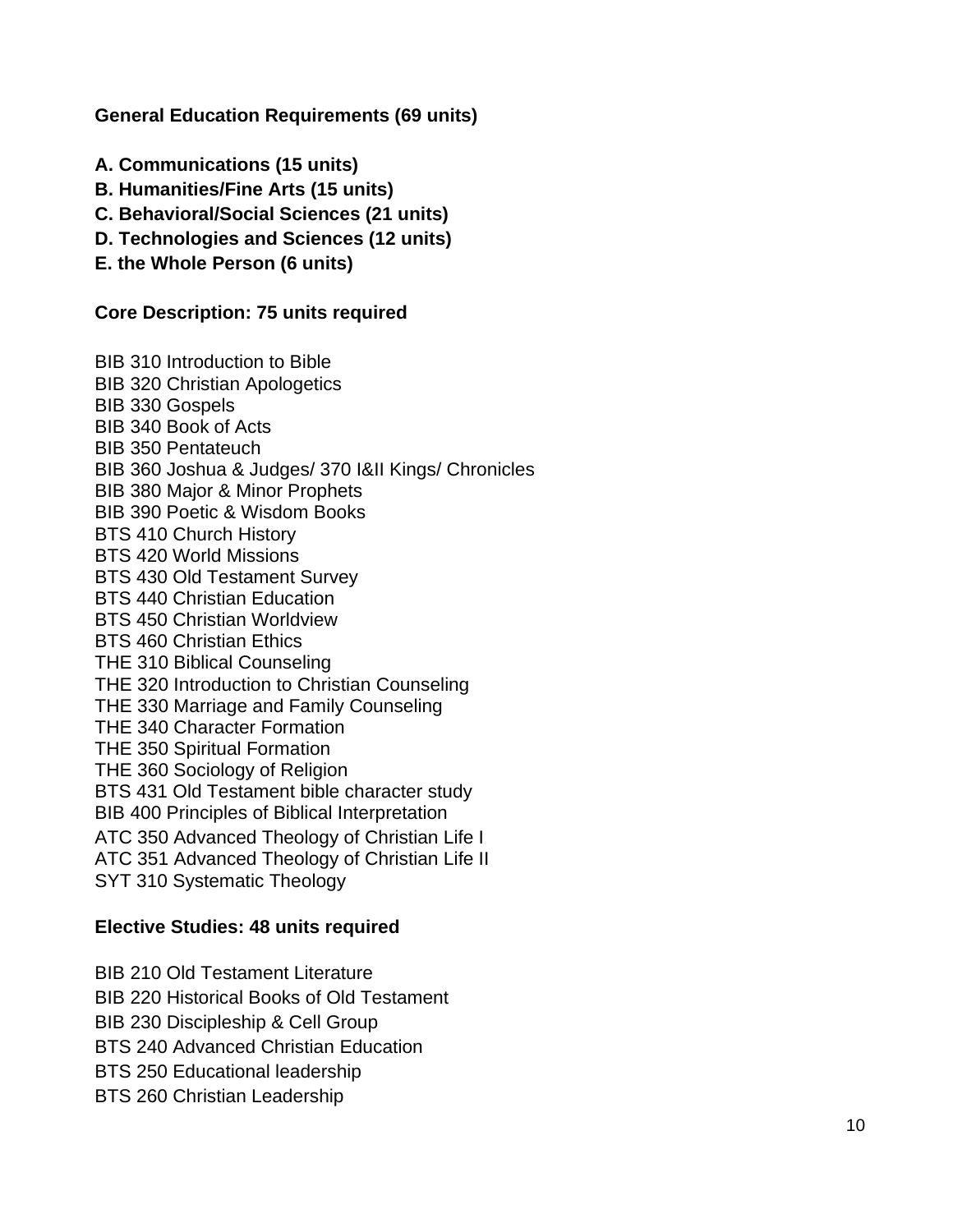**General Education Requirements (69 units)**

- **A. Communications (15 units)**
- **B. Humanities/Fine Arts (15 units)**
- **C. Behavioral/Social Sciences (21 units)**
- **D. Technologies and Sciences (12 units)**
- **E. the Whole Person (6 units)**

#### **Core Description: 75 units required**

BIB 310 Introduction to Bible BIB 320 Christian Apologetics BIB 330 Gospels BIB 340 Book of Acts BIB 350 Pentateuch BIB 360 Joshua & Judges/ 370 I&II Kings/ Chronicles BIB 380 Major & Minor Prophets BIB 390 Poetic & Wisdom Books BTS 410 Church History BTS 420 World Missions BTS 430 Old Testament Survey BTS 440 Christian Education BTS 450 Christian Worldview BTS 460 Christian Ethics THE 310 Biblical Counseling THE 320 Introduction to Christian Counseling THE 330 Marriage and Family Counseling THE 340 Character Formation THE 350 Spiritual Formation THE 360 Sociology of Religion BTS 431 Old Testament bible character study BIB 400 Principles of Biblical Interpretation ATC 350 Advanced Theology of Christian Life I ATC 351 Advanced Theology of Christian Life II SYT 310 Systematic Theology

#### **Elective Studies: 48 units required**

BIB 210 Old Testament Literature

BIB 220 Historical Books of Old Testament

BIB 230 Discipleship & Cell Group

BTS 240 Advanced Christian Education

BTS 250 Educational leadership

BTS 260 Christian Leadership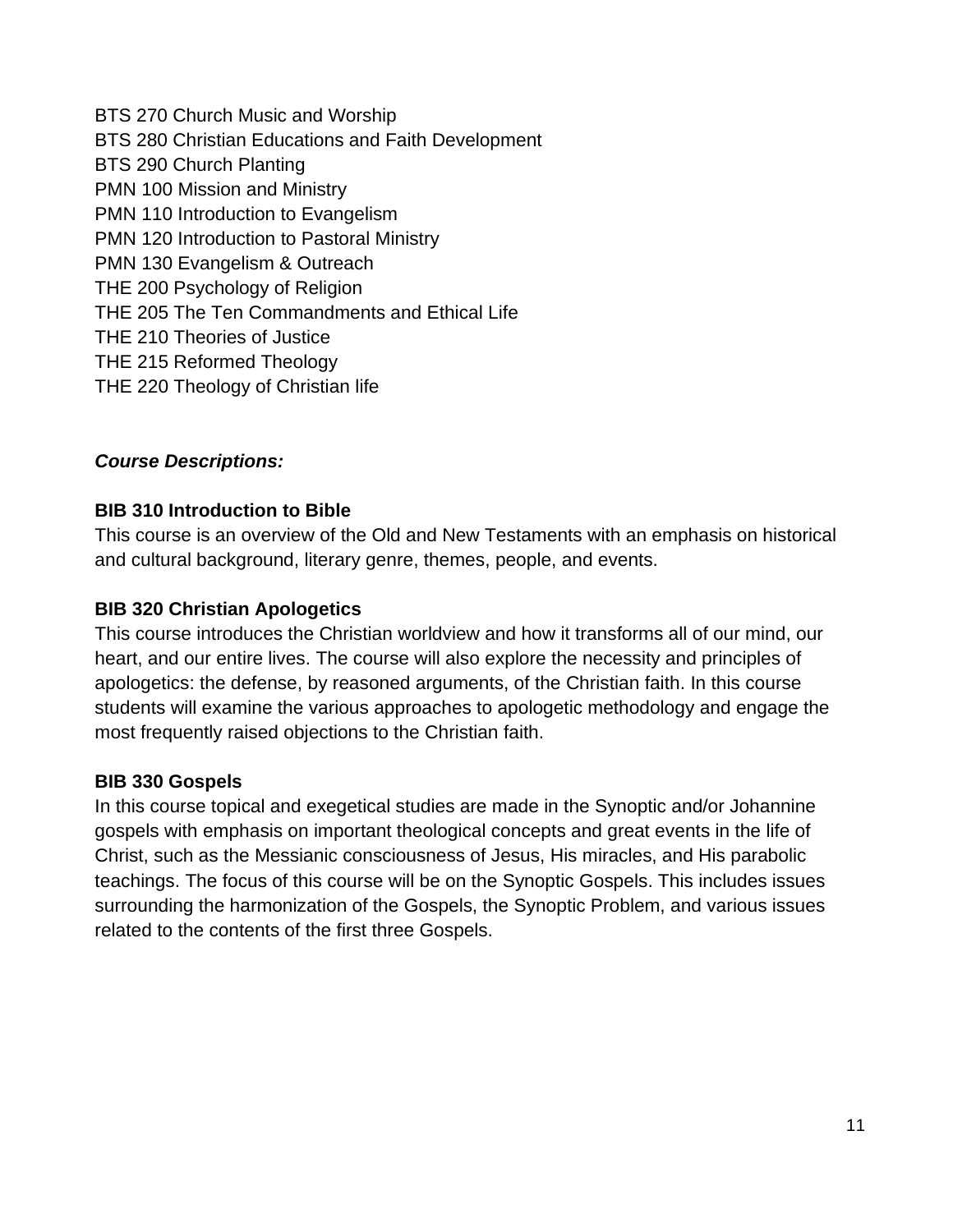BTS 270 Church Music and Worship BTS 280 Christian Educations and Faith Development BTS 290 Church Planting PMN 100 Mission and Ministry PMN 110 Introduction to Evangelism PMN 120 Introduction to Pastoral Ministry PMN 130 Evangelism & Outreach THE 200 Psychology of Religion THE 205 The Ten Commandments and Ethical Life THE 210 Theories of Justice THE 215 Reformed Theology THE 220 Theology of Christian life

#### *Course Descriptions:*

#### **BIB 310 Introduction to Bible**

This course is an overview of the Old and New Testaments with an emphasis on historical and cultural background, literary genre, themes, people, and events.

#### **BIB 320 Christian Apologetics**

This course introduces the Christian worldview and how it transforms all of our mind, our heart, and our entire lives. The course will also explore the necessity and principles of apologetics: the defense, by reasoned arguments, of the Christian faith. In this course students will examine the various approaches to apologetic methodology and engage the most frequently raised objections to the Christian faith.

#### **BIB 330 Gospels**

In this course topical and exegetical studies are made in the Synoptic and/or Johannine gospels with emphasis on important theological concepts and great events in the life of Christ, such as the Messianic consciousness of Jesus, His miracles, and His parabolic teachings. The focus of this course will be on the Synoptic Gospels. This includes issues surrounding the harmonization of the Gospels, the Synoptic Problem, and various issues related to the contents of the first three Gospels.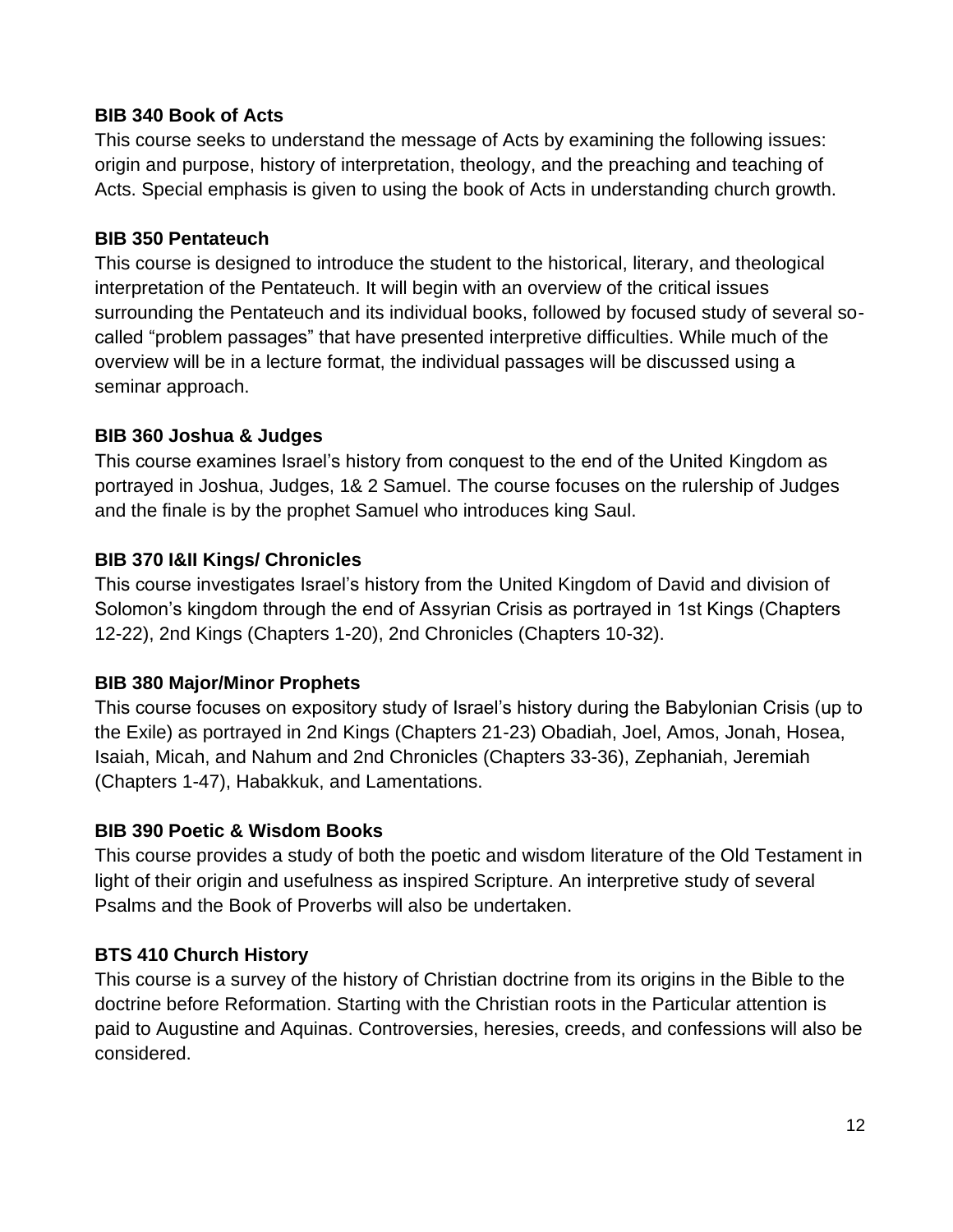#### **BIB 340 Book of Acts**

This course seeks to understand the message of Acts by examining the following issues: origin and purpose, history of interpretation, theology, and the preaching and teaching of Acts. Special emphasis is given to using the book of Acts in understanding church growth.

#### **BIB 350 Pentateuch**

This course is designed to introduce the student to the historical, literary, and theological interpretation of the Pentateuch. It will begin with an overview of the critical issues surrounding the Pentateuch and its individual books, followed by focused study of several socalled "problem passages" that have presented interpretive difficulties. While much of the overview will be in a lecture format, the individual passages will be discussed using a seminar approach.

#### **BIB 360 Joshua & Judges**

This course examines Israel's history from conquest to the end of the United Kingdom as portrayed in Joshua, Judges, 1& 2 Samuel. The course focuses on the rulership of Judges and the finale is by the prophet Samuel who introduces king Saul.

#### **BIB 370 I&II Kings/ Chronicles**

This course investigates Israel's history from the United Kingdom of David and division of Solomon's kingdom through the end of Assyrian Crisis as portrayed in 1st Kings (Chapters 12-22), 2nd Kings (Chapters 1-20), 2nd Chronicles (Chapters 10-32).

#### **BIB 380 Major/Minor Prophets**

This course focuses on expository study of Israel's history during the Babylonian Crisis (up to the Exile) as portrayed in 2nd Kings (Chapters 21-23) Obadiah, Joel, Amos, Jonah, Hosea, Isaiah, Micah, and Nahum and 2nd Chronicles (Chapters 33-36), Zephaniah, Jeremiah (Chapters 1-47), Habakkuk, and Lamentations.

#### **BIB 390 Poetic & Wisdom Books**

This course provides a study of both the poetic and wisdom literature of the Old Testament in light of their origin and usefulness as inspired Scripture. An interpretive study of several Psalms and the Book of Proverbs will also be undertaken.

#### **BTS 410 Church History**

This course is a survey of the history of Christian doctrine from its origins in the Bible to the doctrine before Reformation. Starting with the Christian roots in the Particular attention is paid to Augustine and Aquinas. Controversies, heresies, creeds, and confessions will also be considered.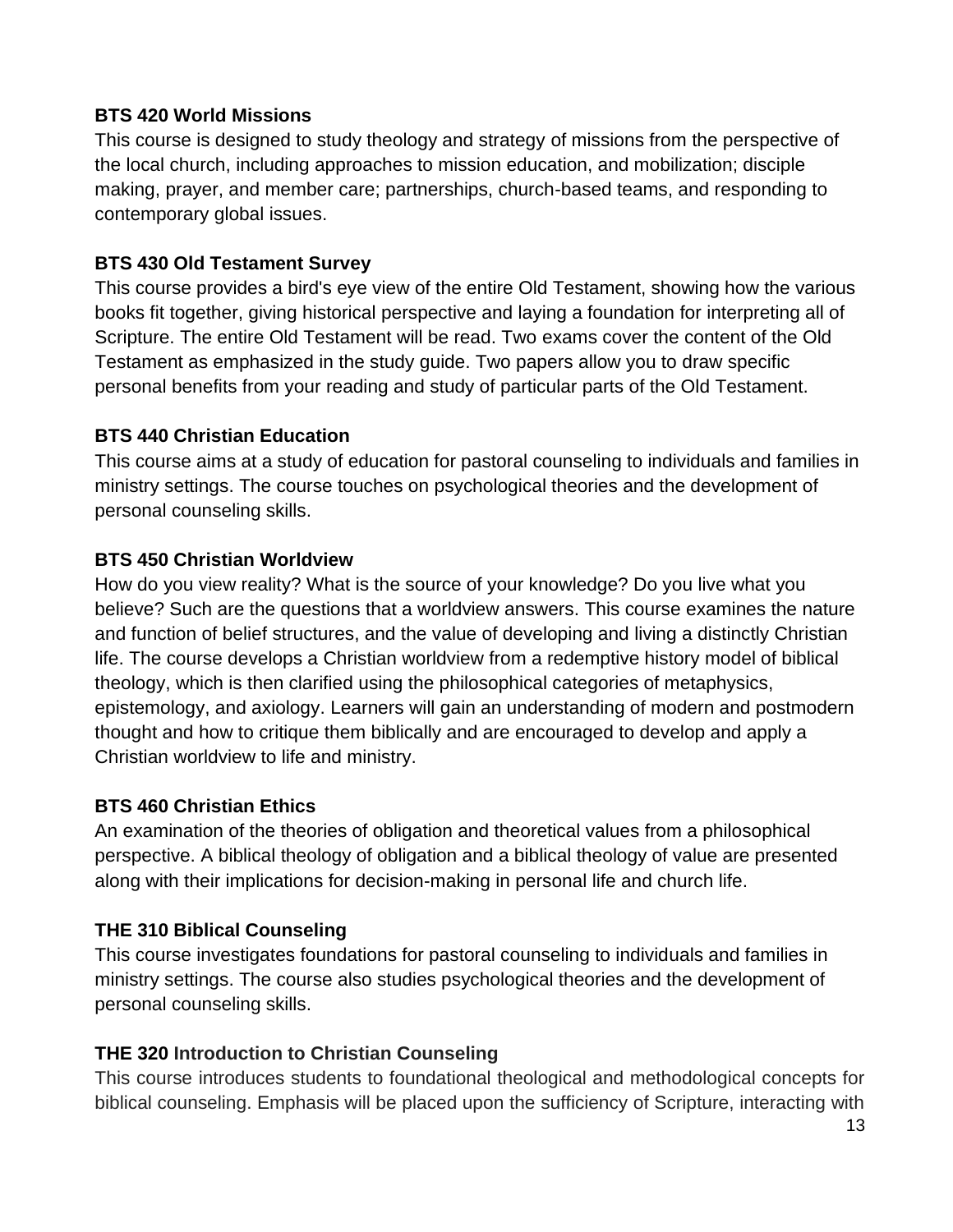#### **BTS 420 World Missions**

This course is designed to study theology and strategy of missions from the perspective of the local church, including approaches to mission education, and mobilization; disciple making, prayer, and member care; partnerships, church-based teams, and responding to contemporary global issues.

#### **BTS 430 Old Testament Survey**

This course provides a bird's eye view of the entire Old Testament, showing how the various books fit together, giving historical perspective and laying a foundation for interpreting all of Scripture. The entire Old Testament will be read. Two exams cover the content of the Old Testament as emphasized in the study guide. Two papers allow you to draw specific personal benefits from your reading and study of particular parts of the Old Testament.

#### **BTS 440 Christian Education**

This course aims at a study of education for pastoral counseling to individuals and families in ministry settings. The course touches on psychological theories and the development of personal counseling skills.

#### **BTS 450 Christian Worldview**

How do you view reality? What is the source of your knowledge? Do you live what you believe? Such are the questions that a worldview answers. This course examines the nature and function of belief structures, and the value of developing and living a distinctly Christian life. The course develops a Christian worldview from a redemptive history model of biblical theology, which is then clarified using the philosophical categories of metaphysics, epistemology, and axiology. Learners will gain an understanding of modern and postmodern thought and how to critique them biblically and are encouraged to develop and apply a Christian worldview to life and ministry.

#### **BTS 460 Christian Ethics**

An examination of the theories of obligation and theoretical values from a philosophical perspective. A biblical theology of obligation and a biblical theology of value are presented along with their implications for decision-making in personal life and church life.

#### **THE 310 Biblical Counseling**

This course investigates foundations for pastoral counseling to individuals and families in ministry settings. The course also studies psychological theories and the development of personal counseling skills.

#### **THE 320 Introduction to Christian Counseling**

This course introduces students to foundational theological and methodological concepts for biblical counseling. Emphasis will be placed upon the sufficiency of Scripture, interacting with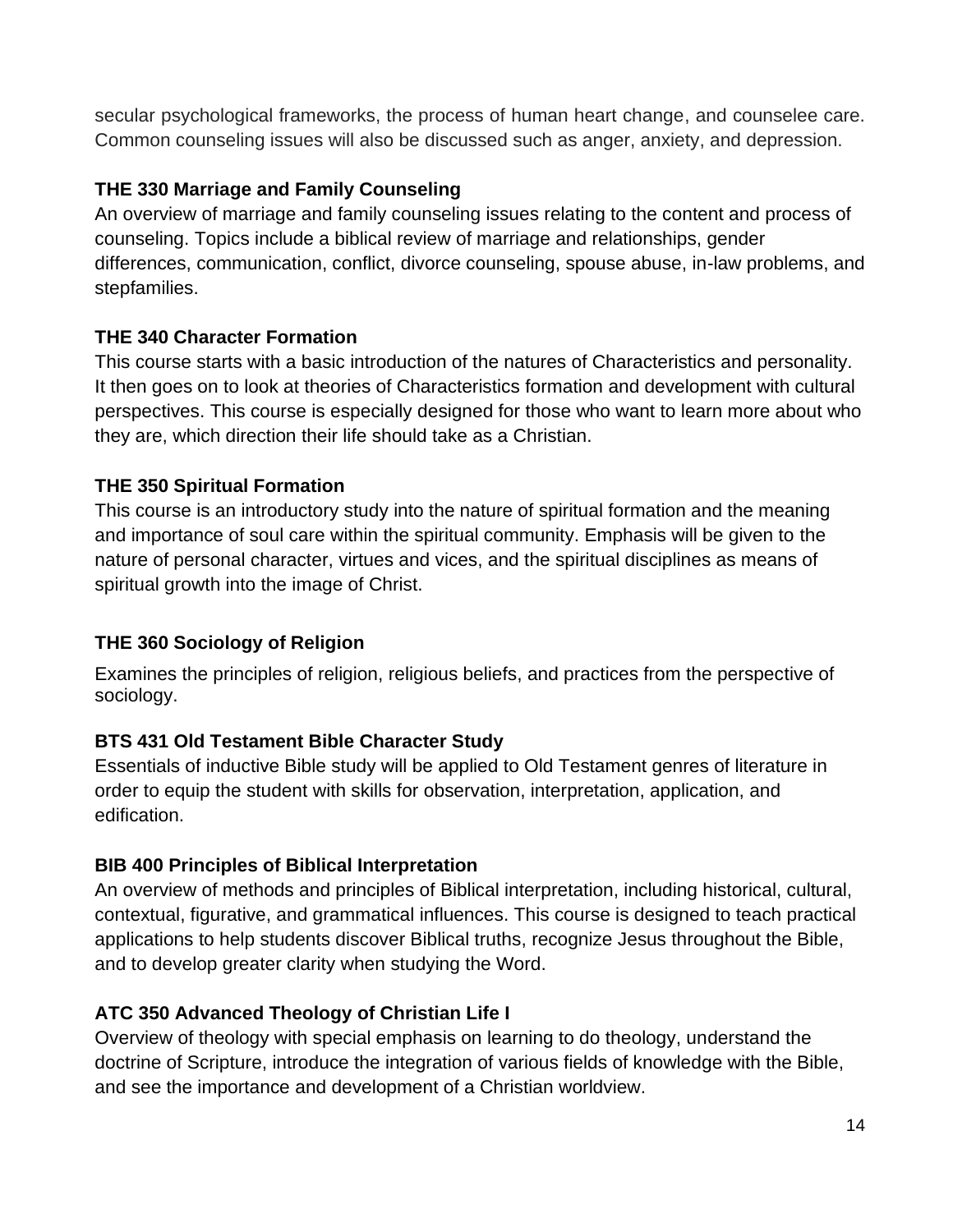secular psychological frameworks, the process of human heart change, and counselee care. Common counseling issues will also be discussed such as anger, anxiety, and depression.

#### **THE 330 Marriage and Family Counseling**

An overview of marriage and family counseling issues relating to the content and process of counseling. Topics include a biblical review of marriage and relationships, gender differences, communication, conflict, divorce counseling, spouse abuse, in-law problems, and stepfamilies.

#### **THE 340 Character Formation**

This course starts with a basic introduction of the natures of Characteristics and personality. It then goes on to look at theories of Characteristics formation and development with cultural perspectives. This course is especially designed for those who want to learn more about who they are, which direction their life should take as a Christian.

#### **THE 350 Spiritual Formation**

This course is an introductory study into the nature of spiritual formation and the meaning and importance of soul care within the spiritual community. Emphasis will be given to the nature of personal character, virtues and vices, and the spiritual disciplines as means of spiritual growth into the image of Christ.

#### **THE 360 Sociology of Religion**

Examines the principles of religion, religious beliefs, and practices from the perspective of sociology.

#### **BTS 431 Old Testament Bible Character Study**

Essentials of inductive Bible study will be applied to Old Testament genres of literature in order to equip the student with skills for observation, interpretation, application, and edification.

#### **BIB 400 Principles of Biblical Interpretation**

An overview of methods and principles of Biblical interpretation, including historical, cultural, contextual, figurative, and grammatical influences. This course is designed to teach practical applications to help students discover Biblical truths, recognize Jesus throughout the Bible, and to develop greater clarity when studying the Word.

#### **ATC 350 Advanced Theology of Christian Life I**

Overview of theology with special emphasis on learning to do theology, understand the doctrine of Scripture, introduce the integration of various fields of knowledge with the Bible, and see the importance and development of a Christian worldview.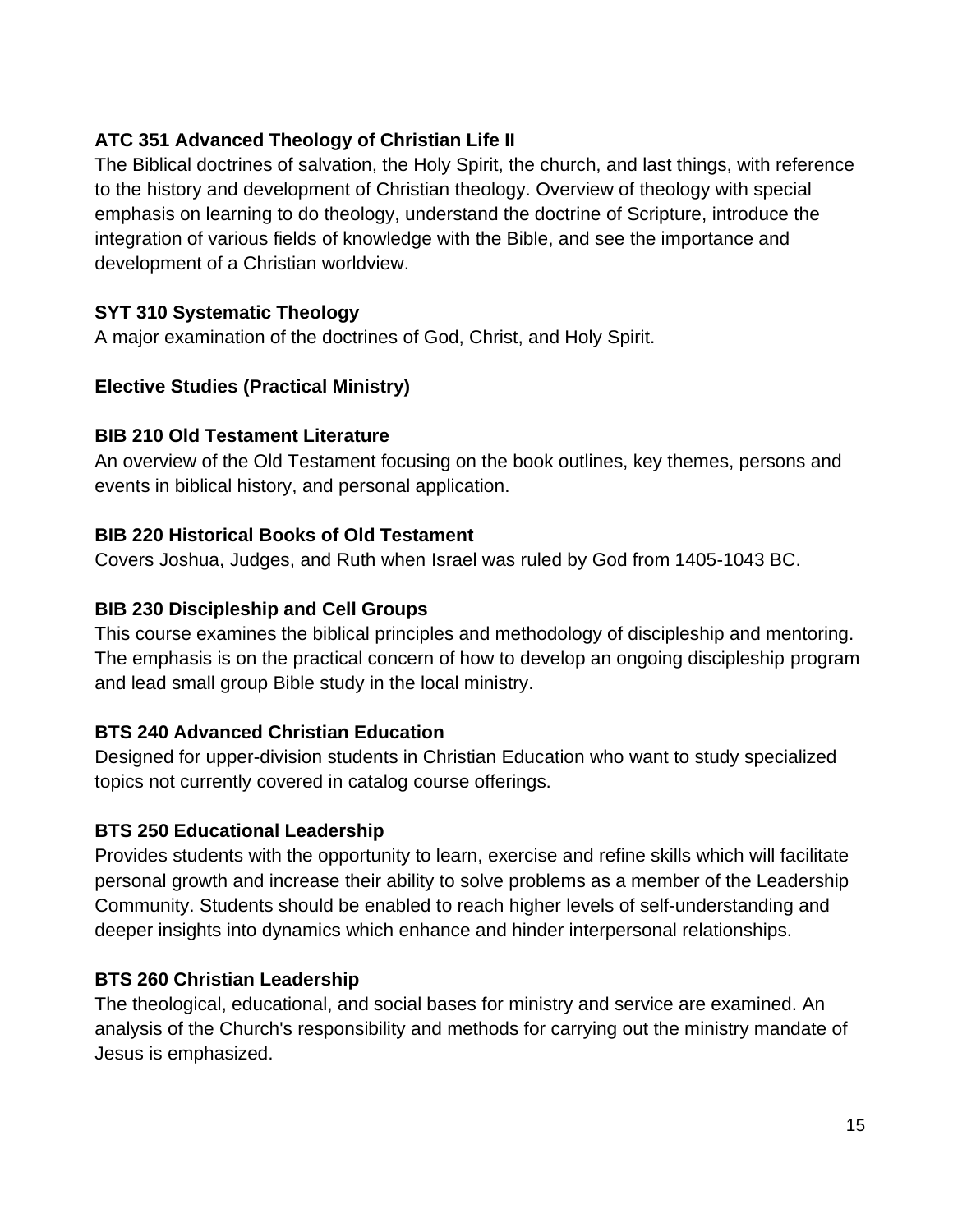#### **ATC 351 Advanced Theology of Christian Life II**

The Biblical doctrines of salvation, the Holy Spirit, the church, and last things, with reference to the history and development of Christian theology. Overview of theology with special emphasis on learning to do theology, understand the doctrine of Scripture, introduce the integration of various fields of knowledge with the Bible, and see the importance and development of a Christian worldview.

#### **SYT 310 Systematic Theology**

A major examination of the doctrines of God, Christ, and Holy Spirit.

#### **Elective Studies (Practical Ministry)**

#### **BIB 210 Old Testament Literature**

An overview of the Old Testament focusing on the book outlines, key themes, persons and events in biblical history, and personal application.

#### **BIB 220 Historical Books of Old Testament**

Covers Joshua, Judges, and Ruth when Israel was ruled by God from 1405-1043 BC.

#### **BIB 230 Discipleship and Cell Groups**

This course examines the biblical principles and methodology of discipleship and mentoring. The emphasis is on the practical concern of how to develop an ongoing discipleship program and lead small group Bible study in the local ministry.

#### **BTS 240 Advanced Christian Education**

Designed for upper-division students in Christian Education who want to study specialized topics not currently covered in catalog course offerings.

#### **BTS 250 Educational Leadership**

Provides students with the opportunity to learn, exercise and refine skills which will facilitate personal growth and increase their ability to solve problems as a member of the Leadership Community. Students should be enabled to reach higher levels of self-understanding and deeper insights into dynamics which enhance and hinder interpersonal relationships.

#### **BTS 260 Christian Leadership**

The theological, educational, and social bases for ministry and service are examined. An analysis of the Church's responsibility and methods for carrying out the ministry mandate of Jesus is emphasized.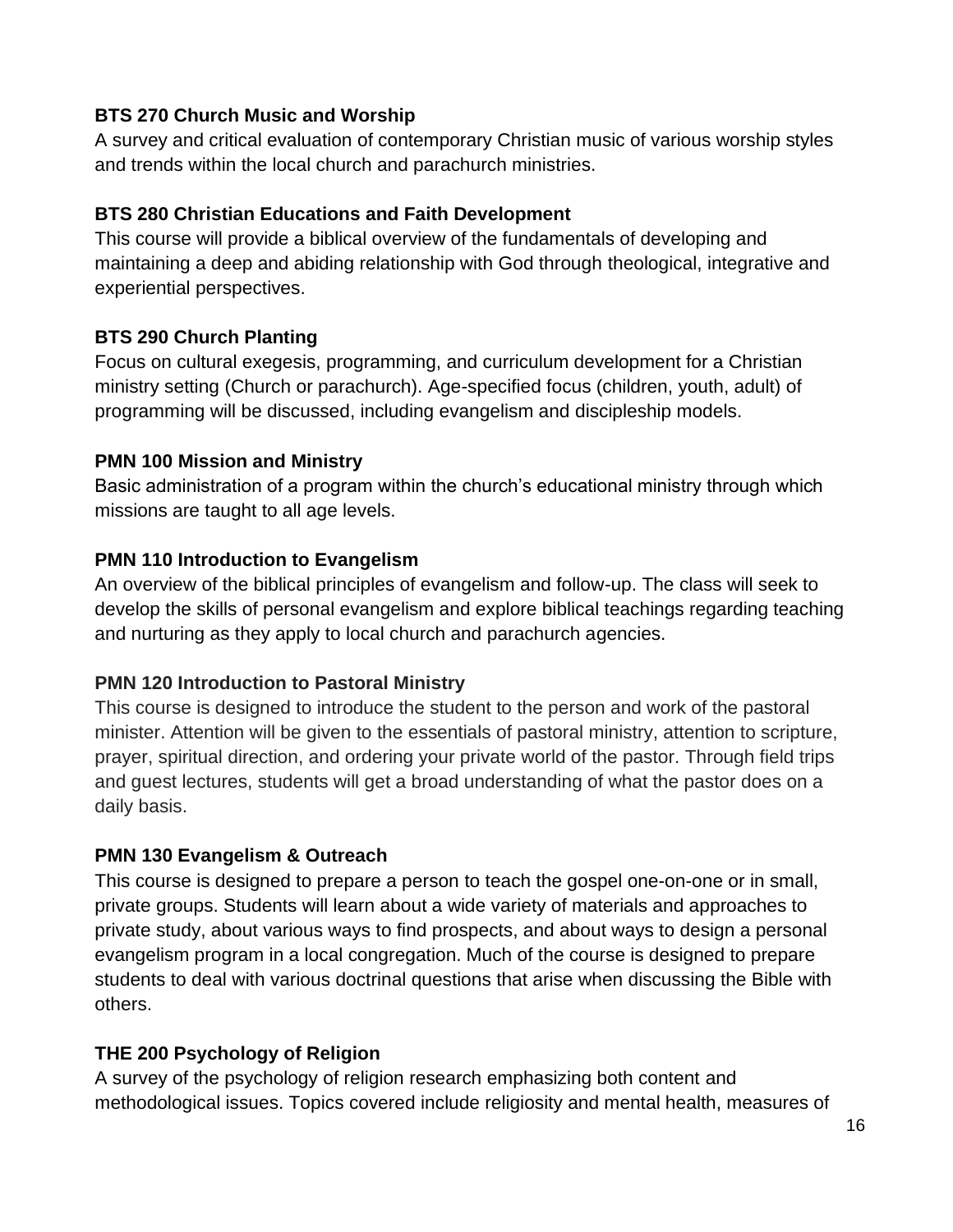#### **BTS 270 Church Music and Worship**

A survey and critical evaluation of contemporary Christian music of various worship styles and trends within the local church and parachurch ministries.

#### **BTS 280 Christian Educations and Faith Development**

This course will provide a biblical overview of the fundamentals of developing and maintaining a deep and abiding relationship with God through theological, integrative and experiential perspectives.

#### **BTS 290 Church Planting**

Focus on cultural exegesis, programming, and curriculum development for a Christian ministry setting (Church or parachurch). Age-specified focus (children, youth, adult) of programming will be discussed, including evangelism and discipleship models.

#### **PMN 100 Mission and Ministry**

Basic administration of a program within the church's educational ministry through which missions are taught to all age levels.

#### **PMN 110 Introduction to Evangelism**

An overview of the biblical principles of evangelism and follow-up. The class will seek to develop the skills of personal evangelism and explore biblical teachings regarding teaching and nurturing as they apply to local church and parachurch agencies.

#### **PMN 120 Introduction to Pastoral Ministry**

This course is designed to introduce the student to the person and work of the pastoral minister. Attention will be given to the essentials of pastoral ministry, attention to scripture, prayer, spiritual direction, and ordering your private world of the pastor. Through field trips and guest lectures, students will get a broad understanding of what the pastor does on a daily basis.

#### **PMN 130 Evangelism & Outreach**

This course is designed to prepare a person to teach the gospel one-on-one or in small, private groups. Students will learn about a wide variety of materials and approaches to private study, about various ways to find prospects, and about ways to design a personal evangelism program in a local congregation. Much of the course is designed to prepare students to deal with various doctrinal questions that arise when discussing the Bible with others.

#### **THE 200 Psychology of Religion**

A survey of the psychology of religion research emphasizing both content and methodological issues. Topics covered include religiosity and mental health, measures of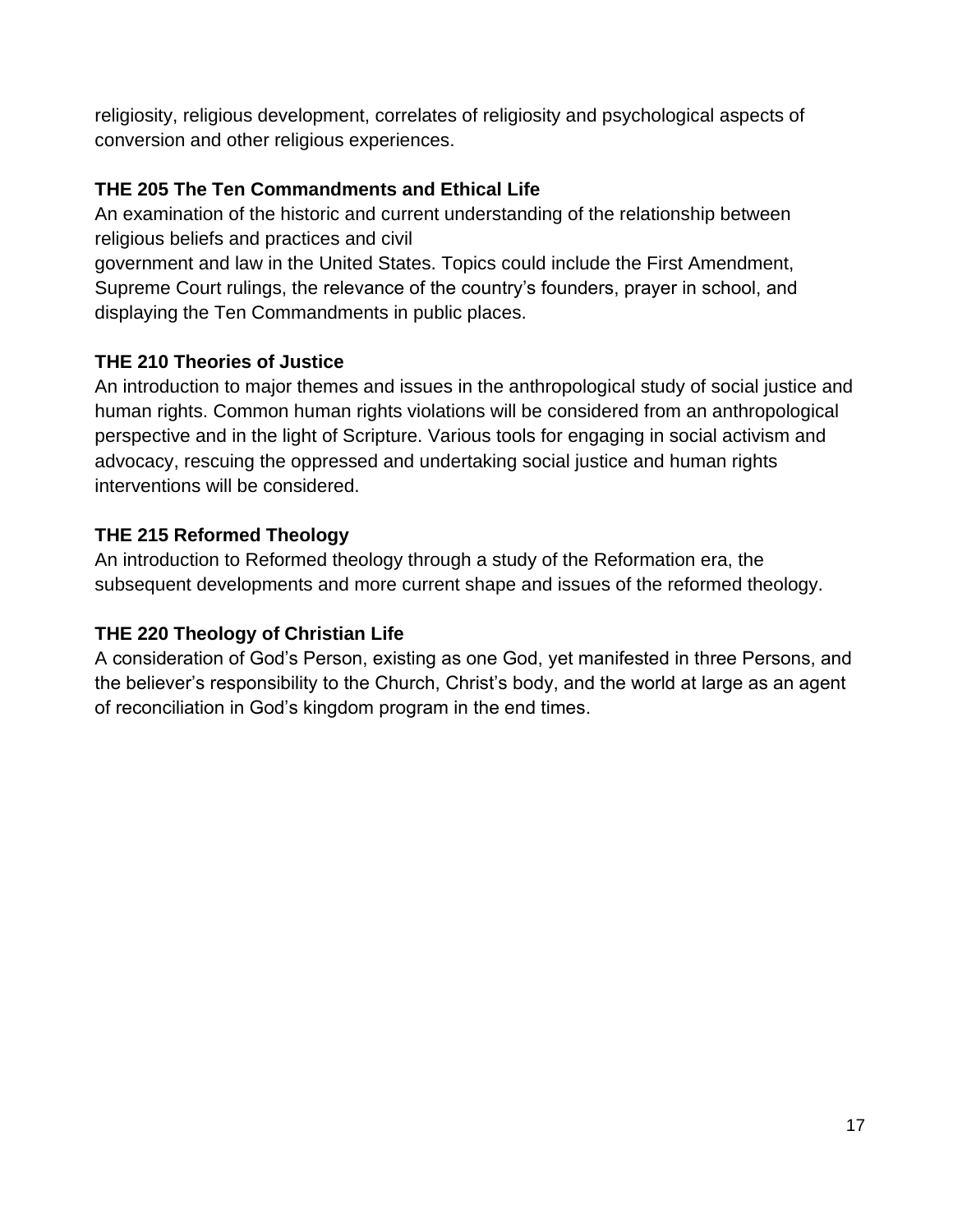religiosity, religious development, correlates of religiosity and psychological aspects of conversion and other religious experiences.

#### **THE 205 The Ten Commandments and Ethical Life**

An examination of the historic and current understanding of the relationship between religious beliefs and practices and civil

government and law in the United States. Topics could include the First Amendment, Supreme Court rulings, the relevance of the country's founders, prayer in school, and displaying the Ten Commandments in public places.

#### **THE 210 Theories of Justice**

An introduction to major themes and issues in the anthropological study of social justice and human rights. Common human rights violations will be considered from an anthropological perspective and in the light of Scripture. Various tools for engaging in social activism and advocacy, rescuing the oppressed and undertaking social justice and human rights interventions will be considered.

#### **THE 215 Reformed Theology**

An introduction to Reformed theology through a study of the Reformation era, the subsequent developments and more current shape and issues of the reformed theology.

#### **THE 220 Theology of Christian Life**

A consideration of God's Person, existing as one God, yet manifested in three Persons, and the believer's responsibility to the Church, Christ's body, and the world at large as an agent of reconciliation in God's kingdom program in the end times.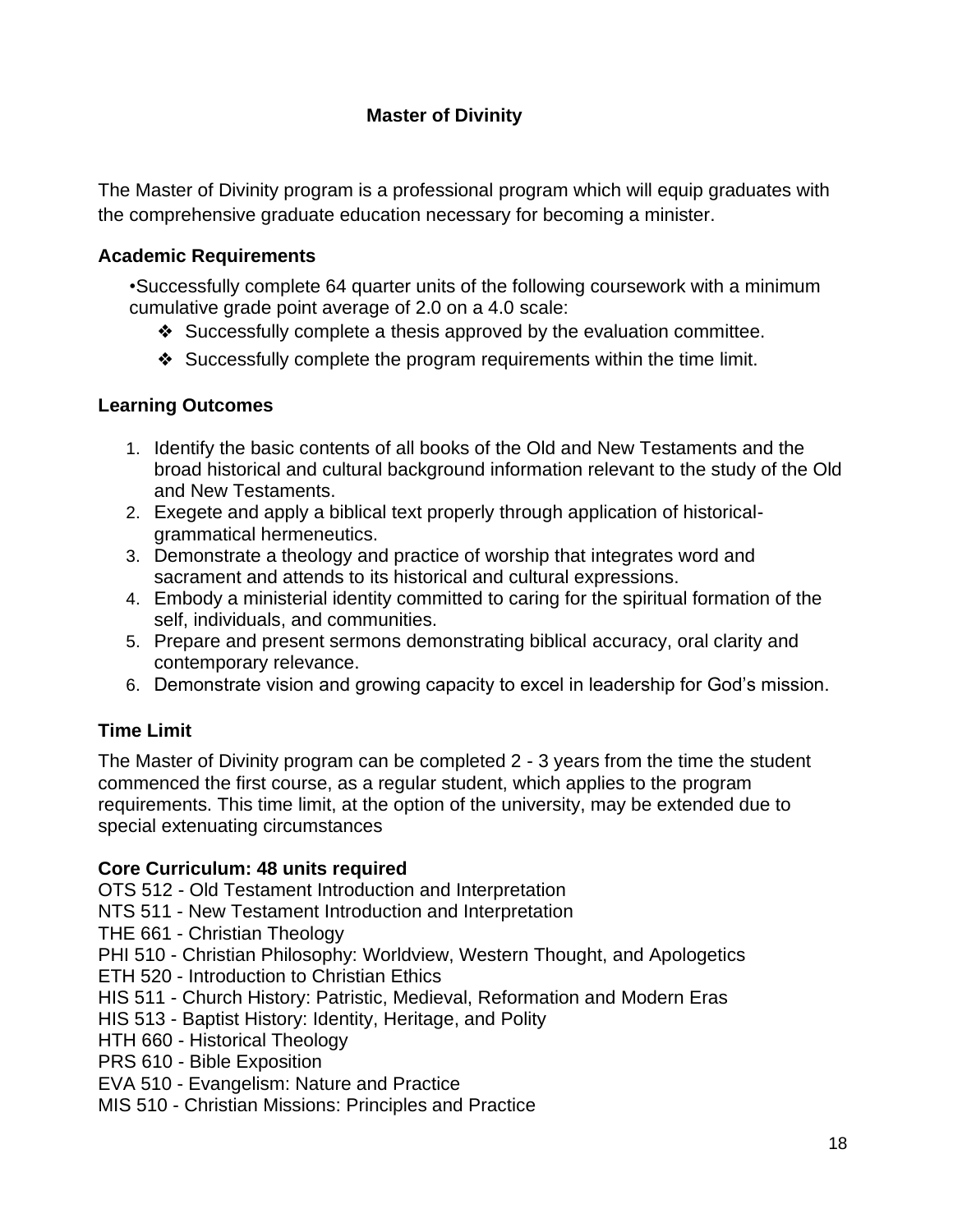#### **Master of Divinity**

<span id="page-17-0"></span>The Master of Divinity program is a professional program which will equip graduates with the comprehensive graduate education necessary for becoming a minister.

#### <span id="page-17-1"></span>**Academic Requirements**

•Successfully complete 64 quarter units of the following coursework with a minimum cumulative grade point average of 2.0 on a 4.0 scale:

- ❖ Successfully complete a thesis approved by the evaluation committee.
- ❖ Successfully complete the program requirements within the time limit.

#### **Learning Outcomes**

- 1. Identify the basic contents of all books of the Old and New Testaments and the broad historical and cultural background information relevant to the study of the Old and New Testaments.
- 2. Exegete and apply a biblical text properly through application of historicalgrammatical hermeneutics.
- 3. Demonstrate a theology and practice of worship that integrates word and sacrament and attends to its historical and cultural expressions.
- 4. Embody a ministerial identity committed to caring for the spiritual formation of the self, individuals, and communities.
- 5. Prepare and present sermons demonstrating biblical accuracy, oral clarity and contemporary relevance.
- 6. Demonstrate vision and growing capacity to excel in leadership for God's mission.

#### <span id="page-17-2"></span>**Time Limit**

The Master of Divinity program can be completed 2 - 3 years from the time the student commenced the first course, as a regular student, which applies to the program requirements. This time limit, at the option of the university, may be extended due to special extenuating circumstances

#### **Core Curriculum: 48 units required**

OTS 512 - Old Testament Introduction and Interpretation

NTS 511 - New Testament Introduction and Interpretation

THE 661 - Christian Theology

PHI 510 - Christian Philosophy: Worldview, Western Thought, and Apologetics

ETH 520 - Introduction to Christian Ethics

HIS 511 - Church History: Patristic, Medieval, Reformation and Modern Eras

HIS 513 - Baptist History: Identity, Heritage, and Polity

HTH 660 - Historical Theology

PRS 610 - Bible Exposition

EVA 510 - Evangelism: Nature and Practice

MIS 510 - Christian Missions: Principles and Practice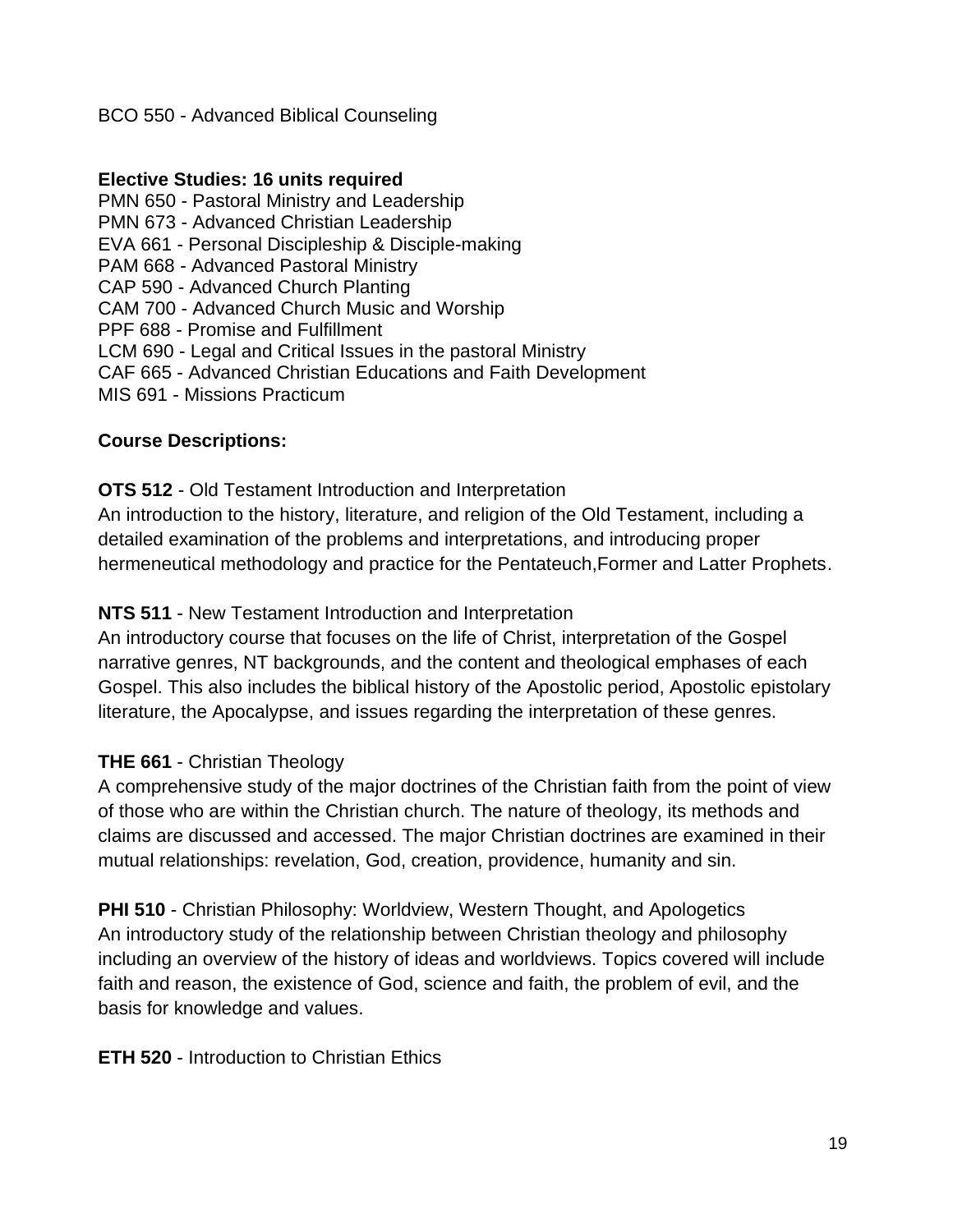#### BCO 550 - Advanced Biblical Counseling

#### **Elective Studies: 16 units required**

PMN 650 - Pastoral Ministry and Leadership PMN 673 - Advanced Christian Leadership EVA 661 - Personal Discipleship & Disciple-making PAM 668 - Advanced Pastoral Ministry CAP 590 - Advanced Church Planting CAM 700 - Advanced Church Music and Worship PPF 688 - Promise and Fulfillment LCM 690 - Legal and Critical Issues in the pastoral Ministry CAF 665 - Advanced Christian Educations and Faith Development MIS 691 - Missions Practicum

#### **Course Descriptions:**

**OTS 512** - Old Testament Introduction and Interpretation An introduction to the history, literature, and religion of the Old Testament, including a detailed examination of the problems and interpretations, and introducing proper hermeneutical methodology and practice for the Pentateuch,Former and Latter Prophets.

#### **NTS 511** - New Testament Introduction and Interpretation

An introductory course that focuses on the life of Christ, interpretation of the Gospel narrative genres, NT backgrounds, and the content and theological emphases of each Gospel. This also includes the biblical history of the Apostolic period, Apostolic epistolary literature, the Apocalypse, and issues regarding the interpretation of these genres.

#### **THE 661** - Christian Theology

A comprehensive study of the major doctrines of the Christian faith from the point of view of those who are within the Christian church. The nature of theology, its methods and claims are discussed and accessed. The major Christian doctrines are examined in their mutual relationships: revelation, God, creation, providence, humanity and sin.

**PHI 510** - Christian Philosophy: Worldview, Western Thought, and Apologetics An introductory study of the relationship between Christian theology and philosophy including an overview of the history of ideas and worldviews. Topics covered will include faith and reason, the existence of God, science and faith, the problem of evil, and the basis for knowledge and values.

#### **ETH 520** - Introduction to Christian Ethics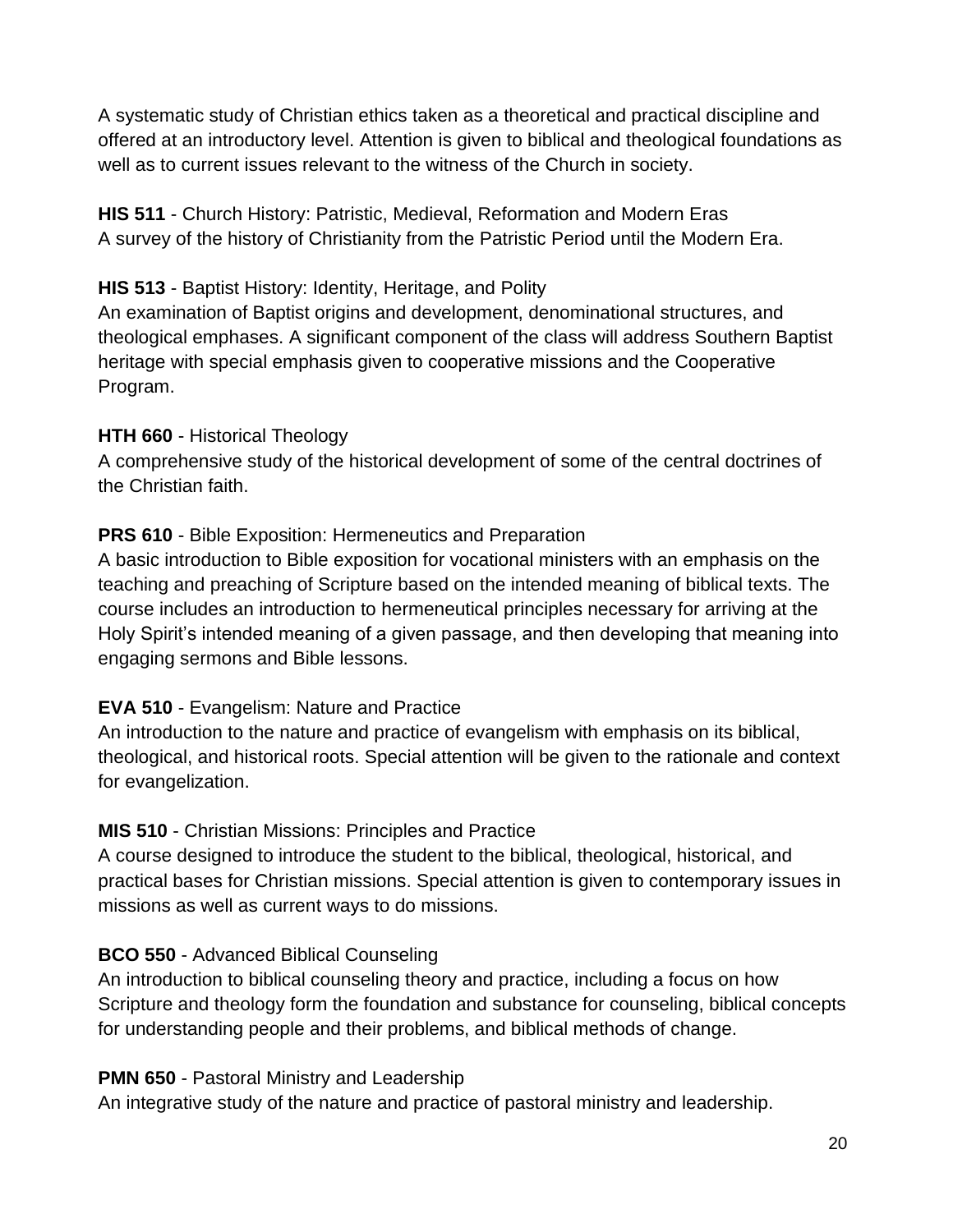A systematic study of Christian ethics taken as a theoretical and practical discipline and offered at an introductory level. Attention is given to biblical and theological foundations as well as to current issues relevant to the witness of the Church in society.

**HIS 511** - Church History: Patristic, Medieval, Reformation and Modern Eras A survey of the history of Christianity from the Patristic Period until the Modern Era.

#### **HIS 513** - Baptist History: Identity, Heritage, and Polity

An examination of Baptist origins and development, denominational structures, and theological emphases. A significant component of the class will address Southern Baptist heritage with special emphasis given to cooperative missions and the Cooperative Program.

#### **HTH 660** - Historical Theology

A comprehensive study of the historical development of some of the central doctrines of the Christian faith.

#### **PRS 610** - Bible Exposition: Hermeneutics and Preparation

A basic introduction to Bible exposition for vocational ministers with an emphasis on the teaching and preaching of Scripture based on the intended meaning of biblical texts. The course includes an introduction to hermeneutical principles necessary for arriving at the Holy Spirit's intended meaning of a given passage, and then developing that meaning into engaging sermons and Bible lessons.

#### **EVA 510** - Evangelism: Nature and Practice

An introduction to the nature and practice of evangelism with emphasis on its biblical, theological, and historical roots. Special attention will be given to the rationale and context for evangelization.

#### **MIS 510** - Christian Missions: Principles and Practice

A course designed to introduce the student to the biblical, theological, historical, and practical bases for Christian missions. Special attention is given to contemporary issues in missions as well as current ways to do missions.

#### **BCO 550** - Advanced Biblical Counseling

An introduction to biblical counseling theory and practice, including a focus on how Scripture and theology form the foundation and substance for counseling, biblical concepts for understanding people and their problems, and biblical methods of change.

#### **PMN 650** - Pastoral Ministry and Leadership

An integrative study of the nature and practice of pastoral ministry and leadership.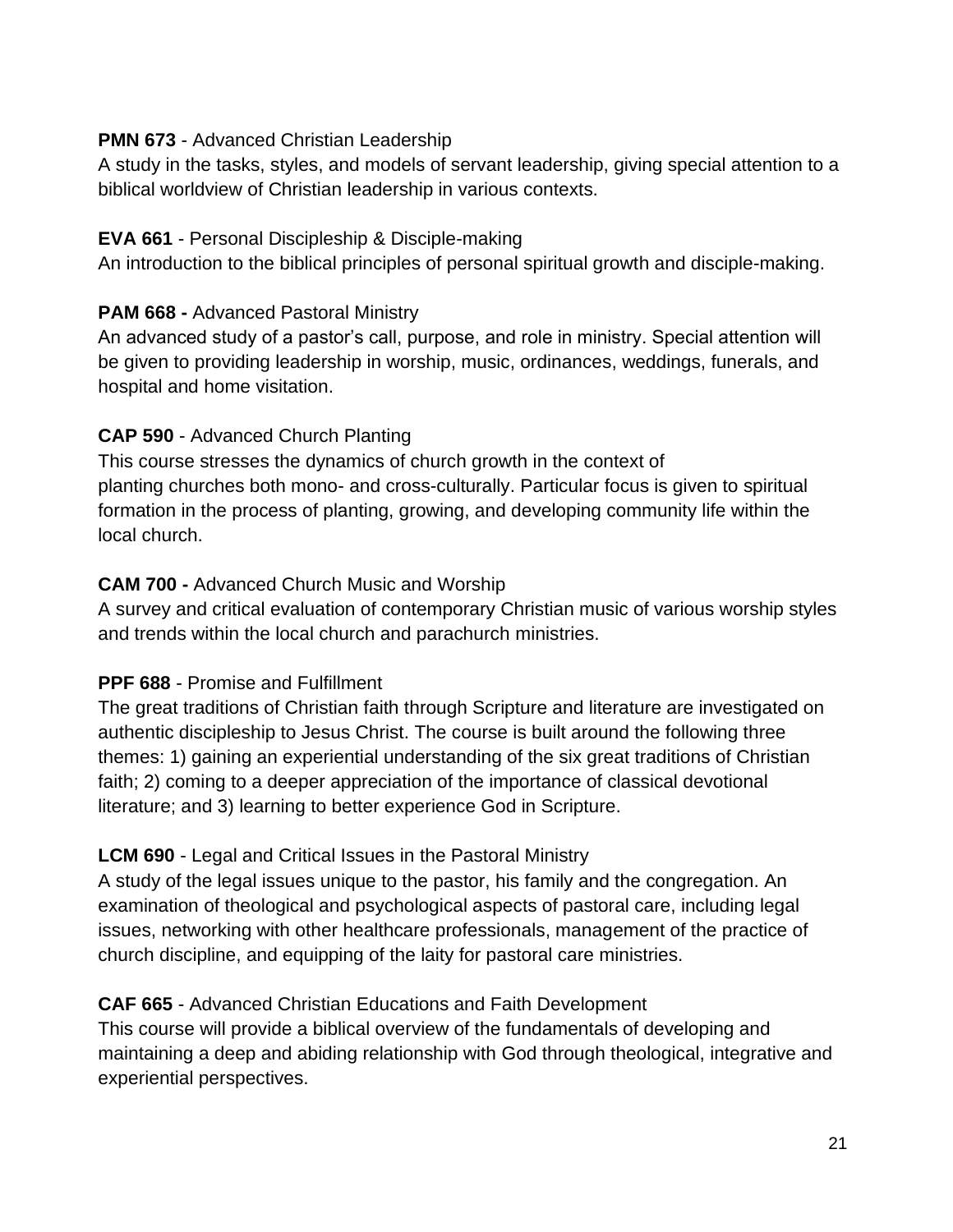#### **PMN 673 - Advanced Christian Leadership**

A study in the tasks, styles, and models of servant leadership, giving special attention to a biblical worldview of Christian leadership in various contexts.

#### **EVA 661** - Personal Discipleship & Disciple-making

An introduction to the biblical principles of personal spiritual growth and disciple-making.

#### **PAM 668 -** Advanced Pastoral Ministry

An advanced study of a pastor's call, purpose, and role in ministry. Special attention will be given to providing leadership in worship, music, ordinances, weddings, funerals, and hospital and home visitation.

#### **CAP 590** - Advanced Church Planting

This course stresses the dynamics of church growth in the context of planting churches both mono- and cross-culturally. Particular focus is given to spiritual formation in the process of planting, growing, and developing community life within the local church.

#### **CAM 700 -** Advanced Church Music and Worship

A survey and critical evaluation of contemporary Christian music of various worship styles and trends within the local church and parachurch ministries.

#### **PPF 688** - Promise and Fulfillment

The great traditions of Christian faith through Scripture and literature are investigated on authentic discipleship to Jesus Christ. The course is built around the following three themes: 1) gaining an experiential understanding of the six great traditions of Christian faith; 2) coming to a deeper appreciation of the importance of classical devotional literature; and 3) learning to better experience God in Scripture.

#### **LCM 690** - Legal and Critical Issues in the Pastoral Ministry

A study of the legal issues unique to the pastor, his family and the congregation. An examination of theological and psychological aspects of pastoral care, including legal issues, networking with other healthcare professionals, management of the practice of church discipline, and equipping of the laity for pastoral care ministries.

#### **CAF 665** - Advanced Christian Educations and Faith Development

This course will provide a biblical overview of the fundamentals of developing and maintaining a deep and abiding relationship with God through theological, integrative and experiential perspectives.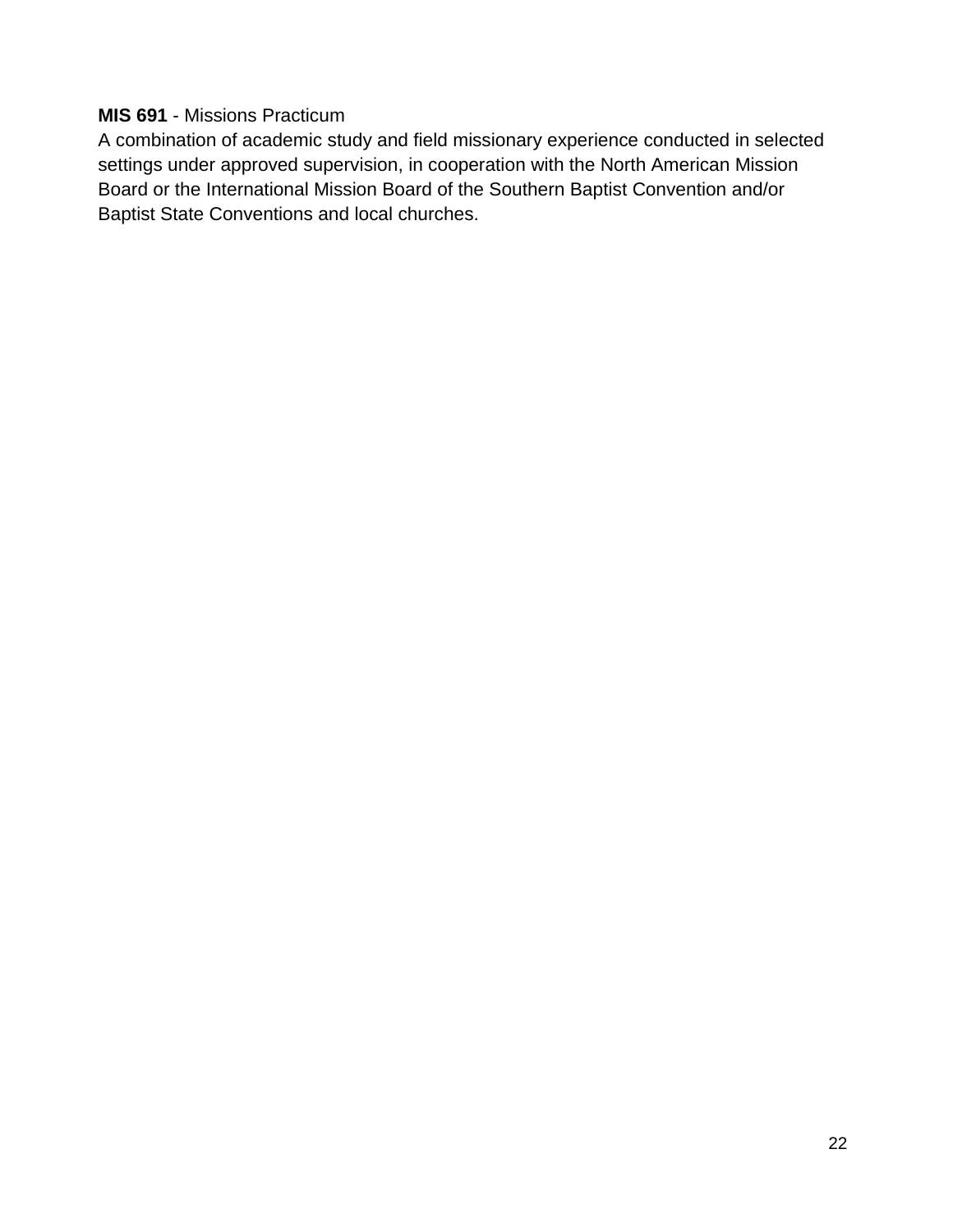#### **MIS 691** - Missions Practicum

A combination of academic study and field missionary experience conducted in selected settings under approved supervision, in cooperation with the North American Mission Board or the International Mission Board of the Southern Baptist Convention and/or Baptist State Conventions and local churches.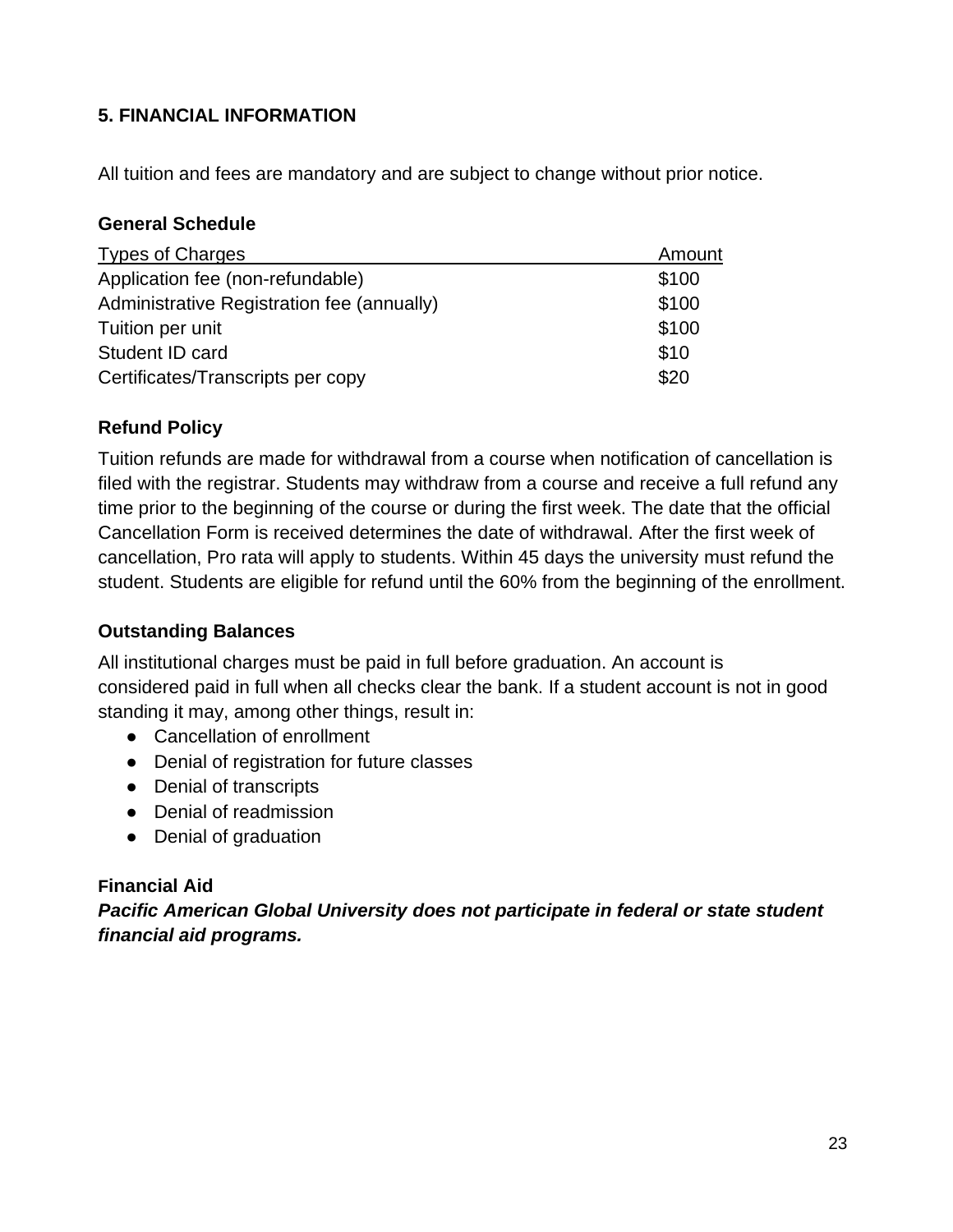#### <span id="page-22-0"></span>**5. FINANCIAL INFORMATION**

<span id="page-22-1"></span>All tuition and fees are mandatory and are subject to change without prior notice.

#### **General Schedule**

| <b>Types of Charges</b>                    | Amount |
|--------------------------------------------|--------|
| Application fee (non-refundable)           | \$100  |
| Administrative Registration fee (annually) | \$100  |
| Tuition per unit                           | \$100  |
| Student ID card                            | \$10   |
| Certificates/Transcripts per copy          | \$20   |

#### <span id="page-22-2"></span>**Refund Policy**

Tuition refunds are made for withdrawal from a course when notification of cancellation is filed with the registrar. Students may withdraw from a course and receive a full refund any time prior to the beginning of the course or during the first week. The date that the official Cancellation Form is received determines the date of withdrawal. After the first week of cancellation, Pro rata will apply to students. Within 45 days the university must refund the student. Students are eligible for refund until the 60% from the beginning of the enrollment.

#### <span id="page-22-3"></span>**Outstanding Balances**

All institutional charges must be paid in full before graduation. An account is considered paid in full when all checks clear the bank. If a student account is not in good standing it may, among other things, result in:

- Cancellation of enrollment
- Denial of registration for future classes
- Denial of transcripts
- Denial of readmission
- Denial of graduation

#### **Financial Aid**

*Pacific American Global University does not participate in federal or state student financial aid programs.*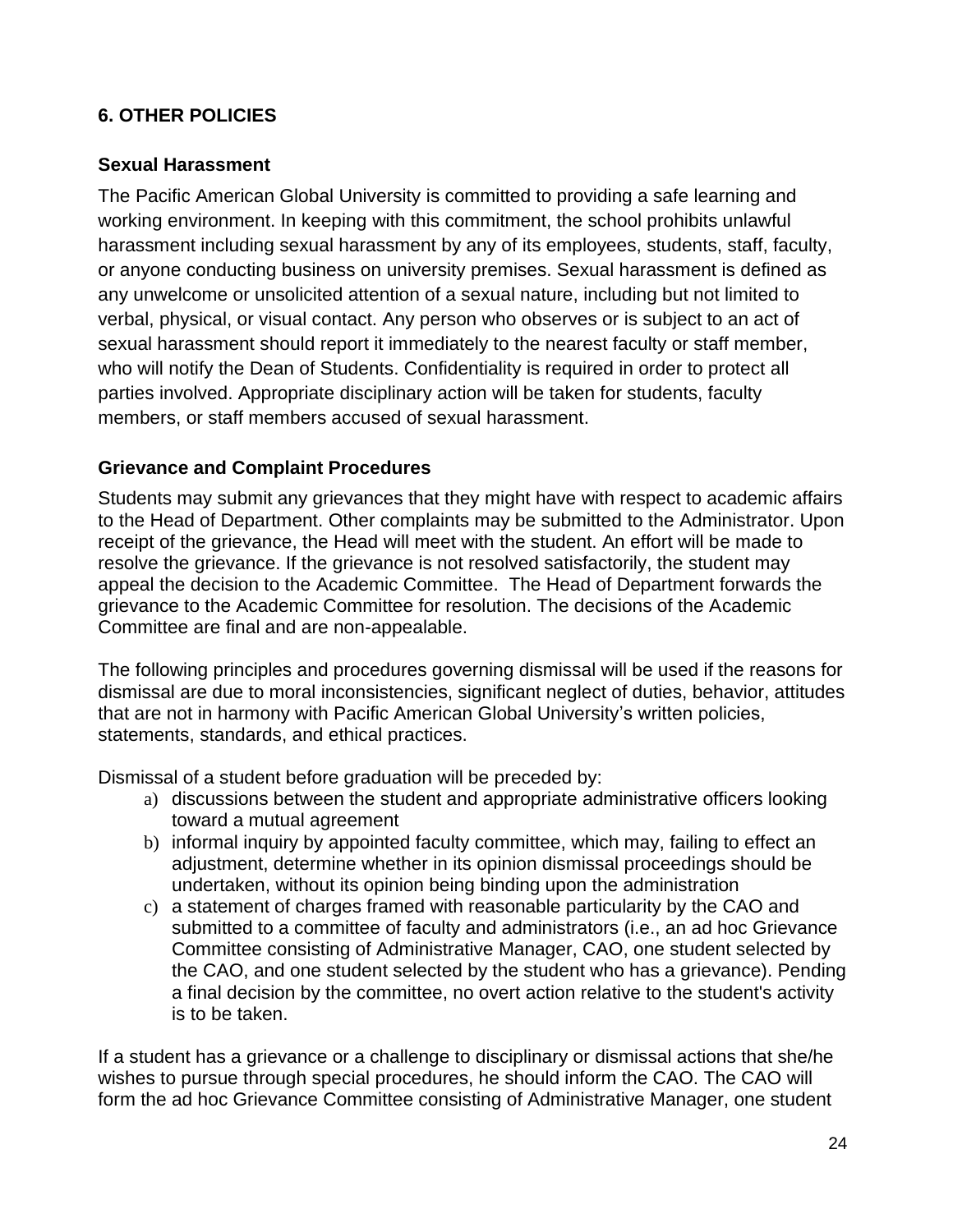#### <span id="page-23-0"></span>**6. OTHER POLICIES**

#### <span id="page-23-1"></span>**Sexual Harassment**

The Pacific American Global University is committed to providing a safe learning and working environment. In keeping with this commitment, the school prohibits unlawful harassment including sexual harassment by any of its employees, students, staff, faculty, or anyone conducting business on university premises. Sexual harassment is defined as any unwelcome or unsolicited attention of a sexual nature, including but not limited to verbal, physical, or visual contact. Any person who observes or is subject to an act of sexual harassment should report it immediately to the nearest faculty or staff member, who will notify the Dean of Students. Confidentiality is required in order to protect all parties involved. Appropriate disciplinary action will be taken for students, faculty members, or staff members accused of sexual harassment.

#### <span id="page-23-2"></span>**Grievance and Complaint Procedures**

Students may submit any grievances that they might have with respect to academic affairs to the Head of Department. Other complaints may be submitted to the Administrator. Upon receipt of the grievance, the Head will meet with the student. An effort will be made to resolve the grievance. If the grievance is not resolved satisfactorily, the student may appeal the decision to the Academic Committee. The Head of Department forwards the grievance to the Academic Committee for resolution. The decisions of the Academic Committee are final and are non-appealable.

The following principles and procedures governing dismissal will be used if the reasons for dismissal are due to moral inconsistencies, significant neglect of duties, behavior, attitudes that are not in harmony with Pacific American Global University's written policies, statements, standards, and ethical practices.

Dismissal of a student before graduation will be preceded by:

- a) discussions between the student and appropriate administrative officers looking toward a mutual agreement
- b) informal inquiry by appointed faculty committee, which may, failing to effect an adjustment, determine whether in its opinion dismissal proceedings should be undertaken, without its opinion being binding upon the administration
- c) a statement of charges framed with reasonable particularity by the CAO and submitted to a committee of faculty and administrators (i.e., an ad hoc Grievance Committee consisting of Administrative Manager, CAO, one student selected by the CAO, and one student selected by the student who has a grievance). Pending a final decision by the committee, no overt action relative to the student's activity is to be taken.

If a student has a grievance or a challenge to disciplinary or dismissal actions that she/he wishes to pursue through special procedures, he should inform the CAO. The CAO will form the ad hoc Grievance Committee consisting of Administrative Manager, one student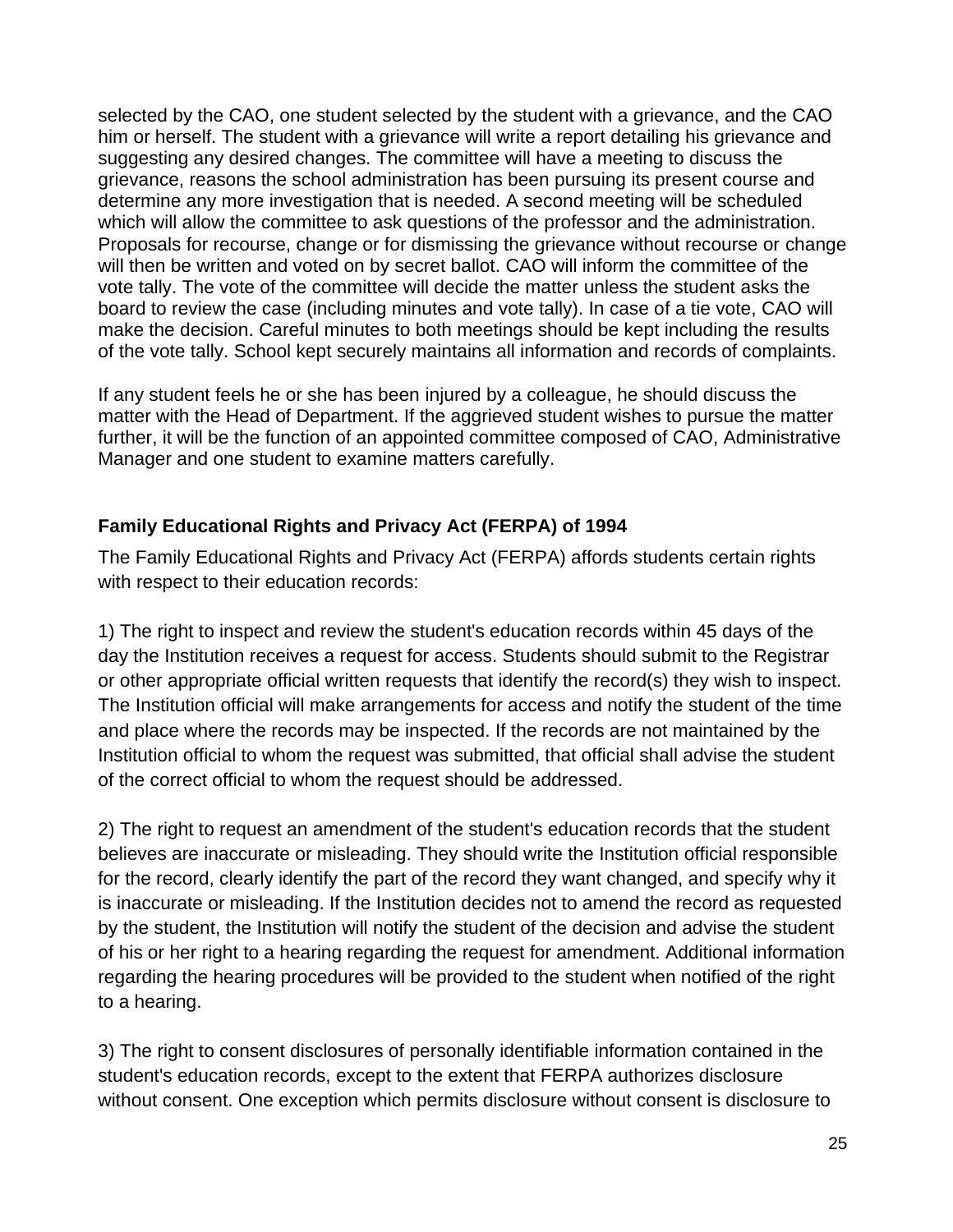selected by the CAO, one student selected by the student with a grievance, and the CAO him or herself. The student with a grievance will write a report detailing his grievance and suggesting any desired changes. The committee will have a meeting to discuss the grievance, reasons the school administration has been pursuing its present course and determine any more investigation that is needed. A second meeting will be scheduled which will allow the committee to ask questions of the professor and the administration. Proposals for recourse, change or for dismissing the grievance without recourse or change will then be written and voted on by secret ballot. CAO will inform the committee of the vote tally. The vote of the committee will decide the matter unless the student asks the board to review the case (including minutes and vote tally). In case of a tie vote, CAO will make the decision. Careful minutes to both meetings should be kept including the results of the vote tally. School kept securely maintains all information and records of complaints.

If any student feels he or she has been injured by a colleague, he should discuss the matter with the Head of Department. If the aggrieved student wishes to pursue the matter further, it will be the function of an appointed committee composed of CAO, Administrative Manager and one student to examine matters carefully.

#### <span id="page-24-0"></span>**Family Educational Rights and Privacy Act (FERPA) of 1994**

The Family Educational Rights and Privacy Act (FERPA) affords students certain rights with respect to their education records:

1) The right to inspect and review the student's education records within 45 days of the day the Institution receives a request for access. Students should submit to the Registrar or other appropriate official written requests that identify the record(s) they wish to inspect. The Institution official will make arrangements for access and notify the student of the time and place where the records may be inspected. If the records are not maintained by the Institution official to whom the request was submitted, that official shall advise the student of the correct official to whom the request should be addressed.

2) The right to request an amendment of the student's education records that the student believes are inaccurate or misleading. They should write the Institution official responsible for the record, clearly identify the part of the record they want changed, and specify why it is inaccurate or misleading. If the Institution decides not to amend the record as requested by the student, the Institution will notify the student of the decision and advise the student of his or her right to a hearing regarding the request for amendment. Additional information regarding the hearing procedures will be provided to the student when notified of the right to a hearing.

3) The right to consent disclosures of personally identifiable information contained in the student's education records, except to the extent that FERPA authorizes disclosure without consent. One exception which permits disclosure without consent is disclosure to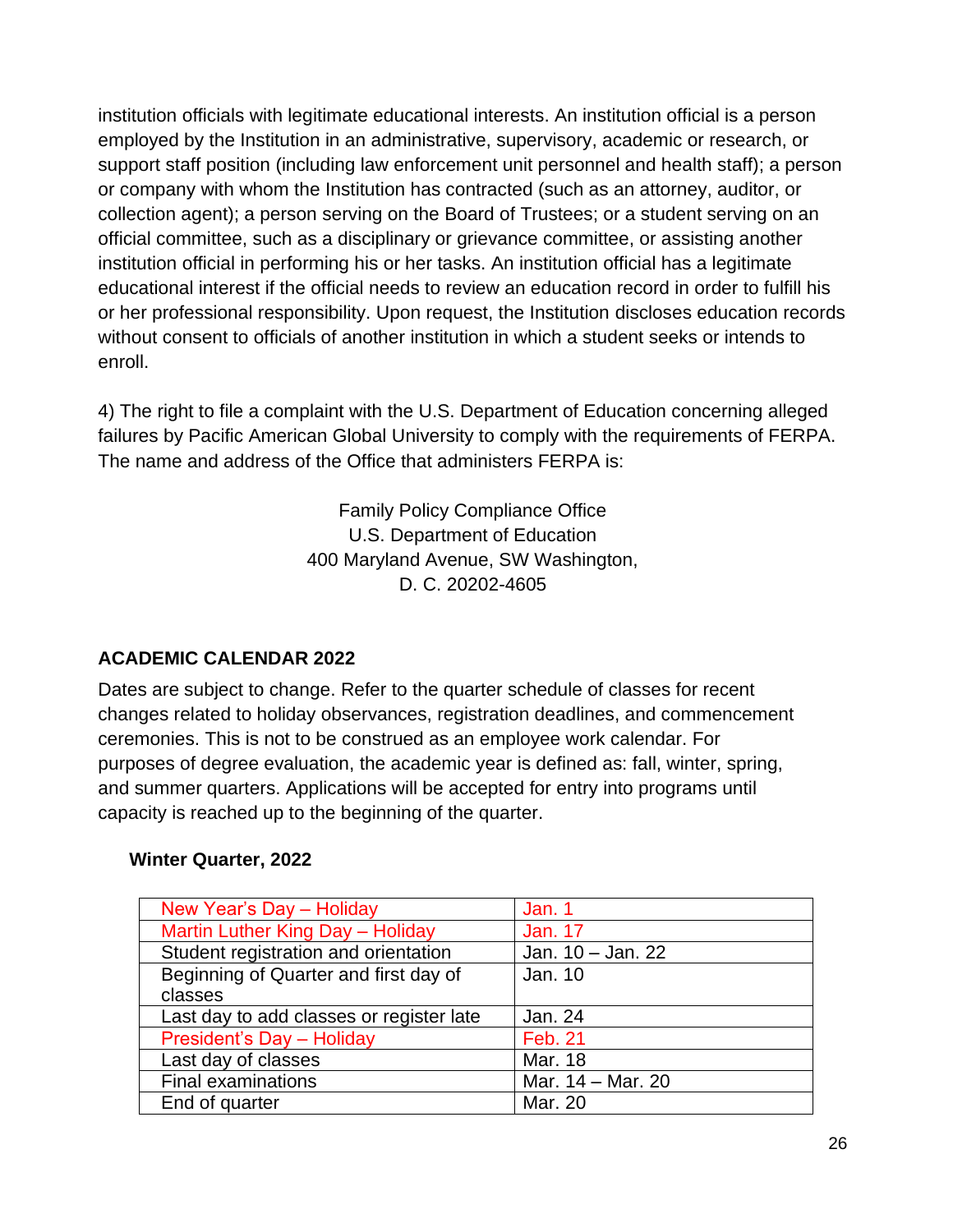institution officials with legitimate educational interests. An institution official is a person employed by the Institution in an administrative, supervisory, academic or research, or support staff position (including law enforcement unit personnel and health staff); a person or company with whom the Institution has contracted (such as an attorney, auditor, or collection agent); a person serving on the Board of Trustees; or a student serving on an official committee, such as a disciplinary or grievance committee, or assisting another institution official in performing his or her tasks. An institution official has a legitimate educational interest if the official needs to review an education record in order to fulfill his or her professional responsibility. Upon request, the Institution discloses education records without consent to officials of another institution in which a student seeks or intends to enroll.

4) The right to file a complaint with the U.S. Department of Education concerning alleged failures by Pacific American Global University to comply with the requirements of FERPA. The name and address of the Office that administers FERPA is:

> Family Policy Compliance Office U.S. Department of Education 400 Maryland Avenue, SW Washington, D. C. 20202-4605

#### <span id="page-25-0"></span>**ACADEMIC CALENDAR 2022**

Dates are subject to change. Refer to the quarter schedule of classes for recent changes related to holiday observances, registration deadlines, and commencement ceremonies. This is not to be construed as an employee work calendar. For purposes of degree evaluation, the academic year is defined as: fall, winter, spring, and summer quarters. Applications will be accepted for entry into programs until capacity is reached up to the beginning of the quarter.

#### **Winter Quarter, 2022**

| New Year's Day - Holiday                 | Jan. 1            |
|------------------------------------------|-------------------|
| Martin Luther King Day - Holiday         | <b>Jan. 17</b>    |
| Student registration and orientation     | Jan. 10 - Jan. 22 |
| Beginning of Quarter and first day of    | Jan. 10           |
| classes                                  |                   |
| Last day to add classes or register late | Jan. 24           |
| <b>President's Day - Holiday</b>         | <b>Feb. 21</b>    |
| Last day of classes                      | Mar. 18           |
| <b>Final examinations</b>                | Mar. 14 - Mar. 20 |
| End of quarter                           | Mar. 20           |